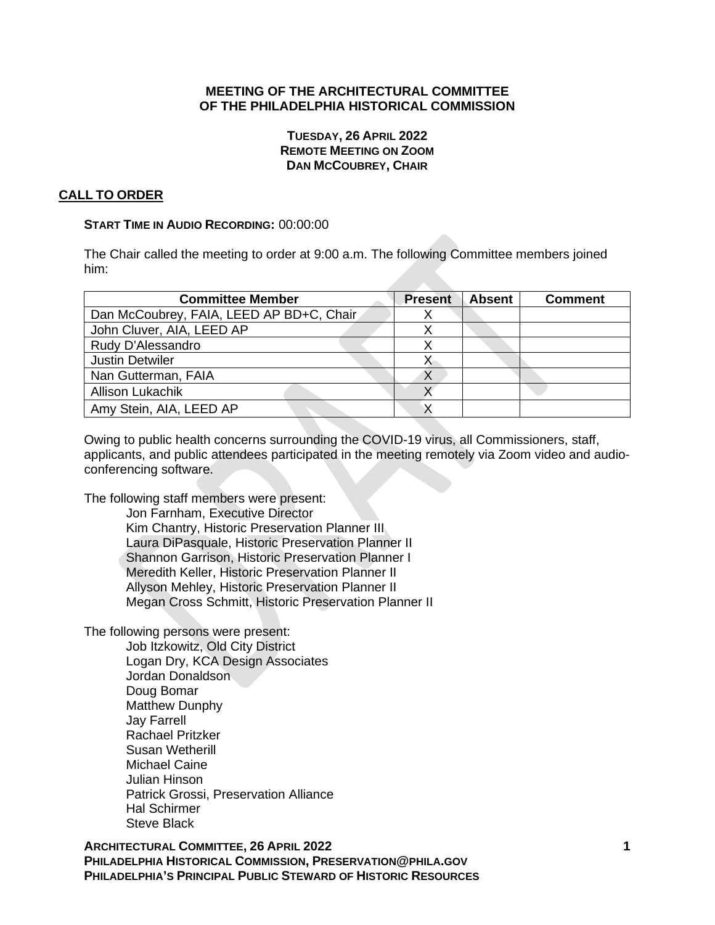## **MEETING OF THE ARCHITECTURAL COMMITTEE OF THE PHILADELPHIA HISTORICAL COMMISSION**

### **TUESDAY, 26 APRIL 2022 REMOTE MEETING ON ZOOM DAN MCCOUBREY, CHAIR**

# **CALL TO ORDER**

### **START TIME IN AUDIO RECORDING:** 00:00:00

The Chair called the meeting to order at 9:00 a.m. The following Committee members joined him:

| <b>Committee Member</b>                  | <b>Present</b> | <b>Absent</b> | <b>Comment</b> |
|------------------------------------------|----------------|---------------|----------------|
| Dan McCoubrey, FAIA, LEED AP BD+C, Chair |                |               |                |
| John Cluver, AIA, LEED AP                |                |               |                |
| Rudy D'Alessandro                        |                |               |                |
| <b>Justin Detwiler</b>                   |                |               |                |
| Nan Gutterman, FAIA                      |                |               |                |
| <b>Allison Lukachik</b>                  |                |               |                |
| Amy Stein, AIA, LEED AP                  |                |               |                |

Owing to public health concerns surrounding the COVID-19 virus, all Commissioners, staff, applicants, and public attendees participated in the meeting remotely via Zoom video and audioconferencing software.

The following staff members were present:

Jon Farnham, Executive Director Kim Chantry, Historic Preservation Planner III Laura DiPasquale, Historic Preservation Planner II Shannon Garrison, Historic Preservation Planner I Meredith Keller, Historic Preservation Planner II Allyson Mehley, Historic Preservation Planner II Megan Cross Schmitt, Historic Preservation Planner II

The following persons were present:

Job Itzkowitz, Old City District Logan Dry, KCA Design Associates Jordan Donaldson Doug Bomar Matthew Dunphy Jay Farrell Rachael Pritzker Susan Wetherill Michael Caine Julian Hinson Patrick Grossi, Preservation Alliance Hal Schirmer Steve Black

**ARCHITECTURAL COMMITTEE, 26 APRIL 2022 1 PHILADELPHIA HISTORICAL COMMISSION, PRESERVATION@PHILA.GOV PHILADELPHIA'S PRINCIPAL PUBLIC STEWARD OF HISTORIC RESOURCES**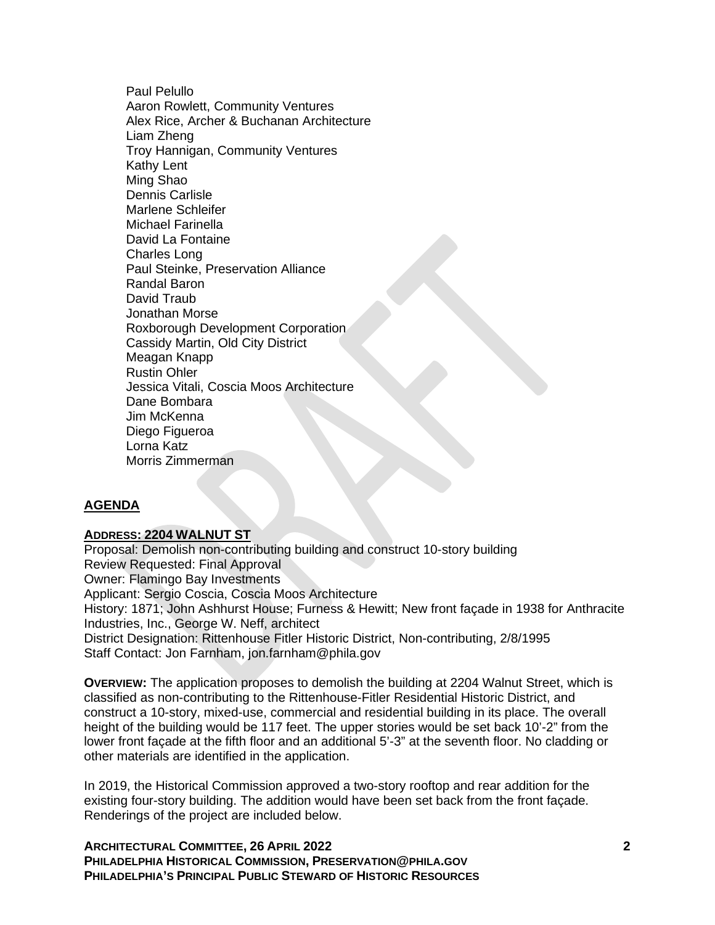Paul Pelullo Aaron Rowlett, Community Ventures Alex Rice, Archer & Buchanan Architecture Liam Zheng Troy Hannigan, Community Ventures Kathy Lent Ming Shao Dennis Carlisle Marlene Schleifer Michael Farinella David La Fontaine Charles Long Paul Steinke, Preservation Alliance Randal Baron David Traub Jonathan Morse Roxborough Development Corporation Cassidy Martin, Old City District Meagan Knapp Rustin Ohler Jessica Vitali, Coscia Moos Architecture Dane Bombara Jim McKenna Diego Figueroa Lorna Katz Morris Zimmerman

## **AGENDA**

### **ADDRESS: 2204 WALNUT ST**

Proposal: Demolish non-contributing building and construct 10-story building Review Requested: Final Approval Owner: Flamingo Bay Investments Applicant: Sergio Coscia, Coscia Moos Architecture History: 1871; John Ashhurst House; Furness & Hewitt; New front façade in 1938 for Anthracite Industries, Inc., George W. Neff, architect District Designation: Rittenhouse Fitler Historic District, Non-contributing, 2/8/1995 Staff Contact: Jon Farnham, jon.farnham@phila.gov

**OVERVIEW:** The application proposes to demolish the building at 2204 Walnut Street, which is classified as non-contributing to the Rittenhouse-Fitler Residential Historic District, and construct a 10-story, mixed-use, commercial and residential building in its place. The overall height of the building would be 117 feet. The upper stories would be set back 10'-2" from the lower front façade at the fifth floor and an additional 5'-3" at the seventh floor. No cladding or other materials are identified in the application.

In 2019, the Historical Commission approved a two-story rooftop and rear addition for the existing four-story building. The addition would have been set back from the front façade. Renderings of the project are included below.

**ARCHITECTURAL COMMITTEE, 26 APRIL 2022 2 PHILADELPHIA HISTORICAL COMMISSION, PRESERVATION@PHILA.GOV PHILADELPHIA'S PRINCIPAL PUBLIC STEWARD OF HISTORIC RESOURCES**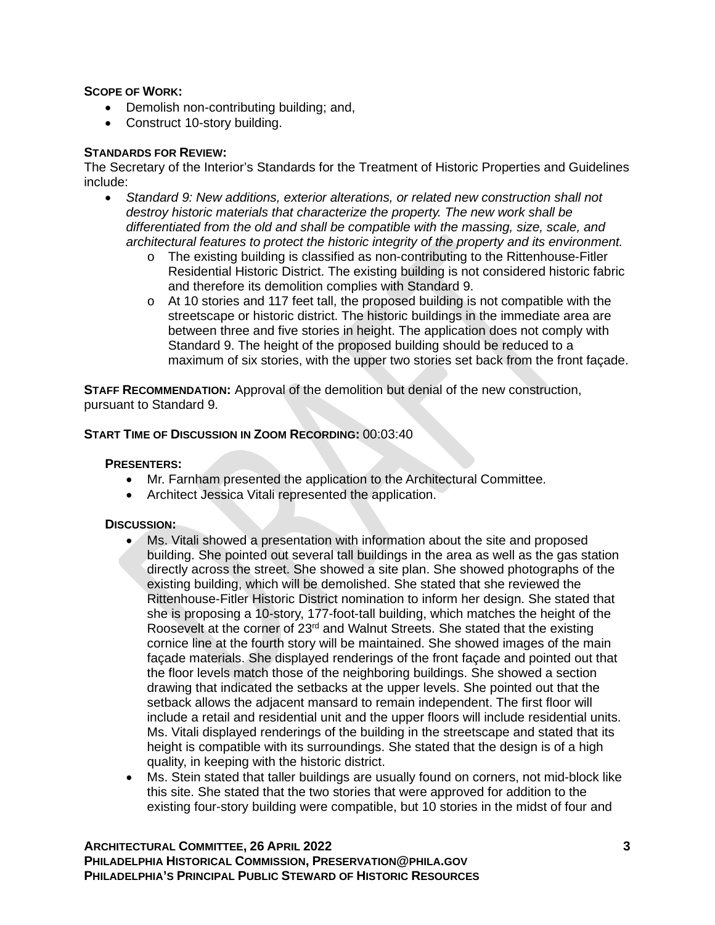### **SCOPE OF WORK:**

- Demolish non-contributing building; and,
- Construct 10-story building.

### **STANDARDS FOR REVIEW:**

The Secretary of the Interior's Standards for the Treatment of Historic Properties and Guidelines include:

- *Standard 9: New additions, exterior alterations, or related new construction shall not destroy historic materials that characterize the property. The new work shall be differentiated from the old and shall be compatible with the massing, size, scale, and architectural features to protect the historic integrity of the property and its environment.*
	- o The existing building is classified as non-contributing to the Rittenhouse-Fitler Residential Historic District. The existing building is not considered historic fabric and therefore its demolition complies with Standard 9.
	- $\circ$  At 10 stories and 117 feet tall, the proposed building is not compatible with the streetscape or historic district. The historic buildings in the immediate area are between three and five stories in height. The application does not comply with Standard 9. The height of the proposed building should be reduced to a maximum of six stories, with the upper two stories set back from the front façade.

**STAFF RECOMMENDATION:** Approval of the demolition but denial of the new construction, pursuant to Standard 9.

### **START TIME OF DISCUSSION IN ZOOM RECORDING:** 00:03:40

#### **PRESENTERS:**

- Mr. Farnham presented the application to the Architectural Committee.
- Architect Jessica Vitali represented the application.

#### **DISCUSSION:**

- Ms. Vitali showed a presentation with information about the site and proposed building. She pointed out several tall buildings in the area as well as the gas station directly across the street. She showed a site plan. She showed photographs of the existing building, which will be demolished. She stated that she reviewed the Rittenhouse-Fitler Historic District nomination to inform her design. She stated that she is proposing a 10-story, 177-foot-tall building, which matches the height of the Roosevelt at the corner of  $23<sup>rd</sup>$  and Walnut Streets. She stated that the existing cornice line at the fourth story will be maintained. She showed images of the main façade materials. She displayed renderings of the front façade and pointed out that the floor levels match those of the neighboring buildings. She showed a section drawing that indicated the setbacks at the upper levels. She pointed out that the setback allows the adjacent mansard to remain independent. The first floor will include a retail and residential unit and the upper floors will include residential units. Ms. Vitali displayed renderings of the building in the streetscape and stated that its height is compatible with its surroundings. She stated that the design is of a high quality, in keeping with the historic district.
- Ms. Stein stated that taller buildings are usually found on corners, not mid-block like this site. She stated that the two stories that were approved for addition to the existing four-story building were compatible, but 10 stories in the midst of four and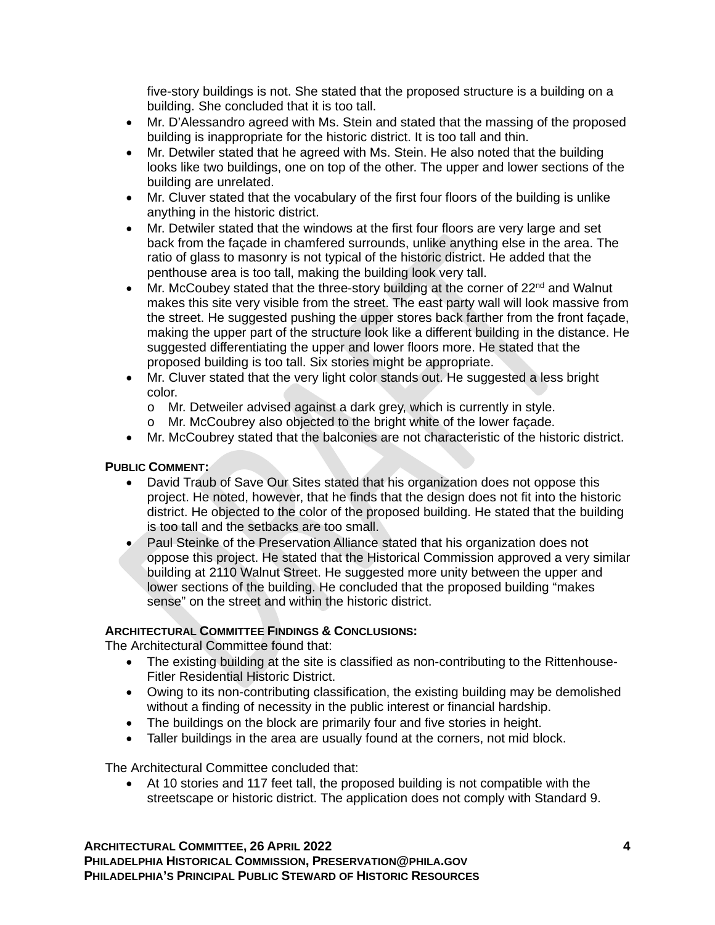five-story buildings is not. She stated that the proposed structure is a building on a building. She concluded that it is too tall.

- Mr. D'Alessandro agreed with Ms. Stein and stated that the massing of the proposed building is inappropriate for the historic district. It is too tall and thin.
- Mr. Detwiler stated that he agreed with Ms. Stein. He also noted that the building looks like two buildings, one on top of the other. The upper and lower sections of the building are unrelated.
- Mr. Cluver stated that the vocabulary of the first four floors of the building is unlike anything in the historic district.
- Mr. Detwiler stated that the windows at the first four floors are very large and set back from the façade in chamfered surrounds, unlike anything else in the area. The ratio of glass to masonry is not typical of the historic district. He added that the penthouse area is too tall, making the building look very tall.
- Mr. McCoubey stated that the three-story building at the corner of  $22<sup>nd</sup>$  and Walnut makes this site very visible from the street. The east party wall will look massive from the street. He suggested pushing the upper stores back farther from the front façade, making the upper part of the structure look like a different building in the distance. He suggested differentiating the upper and lower floors more. He stated that the proposed building is too tall. Six stories might be appropriate.
- Mr. Cluver stated that the very light color stands out. He suggested a less bright color.
	- o Mr. Detweiler advised against a dark grey, which is currently in style.
	- o Mr. McCoubrey also objected to the bright white of the lower façade.
- Mr. McCoubrey stated that the balconies are not characteristic of the historic district.

## **PUBLIC COMMENT:**

- David Traub of Save Our Sites stated that his organization does not oppose this project. He noted, however, that he finds that the design does not fit into the historic district. He objected to the color of the proposed building. He stated that the building is too tall and the setbacks are too small.
- Paul Steinke of the Preservation Alliance stated that his organization does not oppose this project. He stated that the Historical Commission approved a very similar building at 2110 Walnut Street. He suggested more unity between the upper and lower sections of the building. He concluded that the proposed building "makes sense" on the street and within the historic district.

## **ARCHITECTURAL COMMITTEE FINDINGS & CONCLUSIONS:**

The Architectural Committee found that:

- The existing building at the site is classified as non-contributing to the Rittenhouse-Fitler Residential Historic District.
- Owing to its non-contributing classification, the existing building may be demolished without a finding of necessity in the public interest or financial hardship.
- The buildings on the block are primarily four and five stories in height.
- Taller buildings in the area are usually found at the corners, not mid block.

The Architectural Committee concluded that:

• At 10 stories and 117 feet tall, the proposed building is not compatible with the streetscape or historic district. The application does not comply with Standard 9.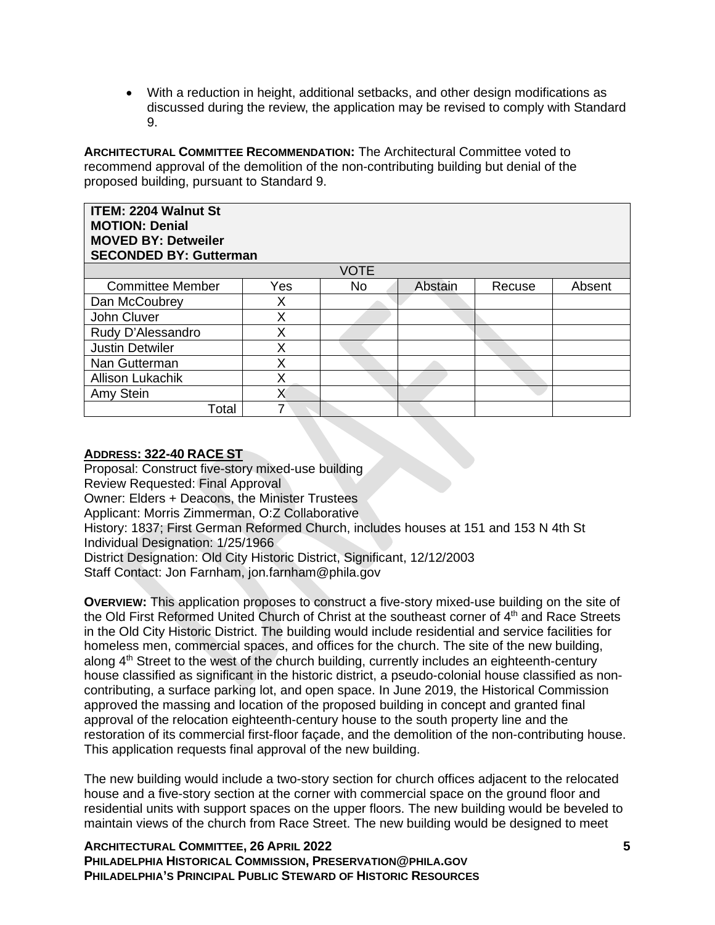• With a reduction in height, additional setbacks, and other design modifications as discussed during the review, the application may be revised to comply with Standard 9.

**ARCHITECTURAL COMMITTEE RECOMMENDATION:** The Architectural Committee voted to recommend approval of the demolition of the non-contributing building but denial of the proposed building, pursuant to Standard 9.

| <b>ITEM: 2204 Walnut St</b><br><b>MOTION: Denial</b><br><b>MOVED BY: Detweiler</b><br><b>SECONDED BY: Gutterman</b> |     |             |         |        |        |  |  |
|---------------------------------------------------------------------------------------------------------------------|-----|-------------|---------|--------|--------|--|--|
|                                                                                                                     |     | <b>VOTE</b> |         |        |        |  |  |
| <b>Committee Member</b>                                                                                             | Yes | <b>No</b>   | Abstain | Recuse | Absent |  |  |
| Dan McCoubrey                                                                                                       | Χ   |             |         |        |        |  |  |
| John Cluver                                                                                                         | Χ   |             |         |        |        |  |  |
| Rudy D'Alessandro                                                                                                   | Χ   |             |         |        |        |  |  |
| <b>Justin Detwiler</b>                                                                                              | X   |             |         |        |        |  |  |
| Nan Gutterman                                                                                                       | Χ   |             |         |        |        |  |  |
| <b>Allison Lukachik</b>                                                                                             | X   |             |         |        |        |  |  |
| Amy Stein                                                                                                           | Χ   |             |         |        |        |  |  |
| Total                                                                                                               |     |             |         |        |        |  |  |

### **ADDRESS: 322-40 RACE ST**

Proposal: Construct five-story mixed-use building Review Requested: Final Approval Owner: Elders + Deacons, the Minister Trustees Applicant: Morris Zimmerman, O:Z Collaborative History: 1837; First German Reformed Church, includes houses at 151 and 153 N 4th St Individual Designation: 1/25/1966 District Designation: Old City Historic District, Significant, 12/12/2003 Staff Contact: Jon Farnham, jon.farnham@phila.gov

**OVERVIEW:** This application proposes to construct a five-story mixed-use building on the site of the Old First Reformed United Church of Christ at the southeast corner of  $4<sup>th</sup>$  and Race Streets in the Old City Historic District. The building would include residential and service facilities for homeless men, commercial spaces, and offices for the church. The site of the new building, along 4<sup>th</sup> Street to the west of the church building, currently includes an eighteenth-century house classified as significant in the historic district, a pseudo-colonial house classified as noncontributing, a surface parking lot, and open space. In June 2019, the Historical Commission approved the massing and location of the proposed building in concept and granted final approval of the relocation eighteenth-century house to the south property line and the restoration of its commercial first-floor façade, and the demolition of the non-contributing house. This application requests final approval of the new building.

The new building would include a two-story section for church offices adjacent to the relocated house and a five-story section at the corner with commercial space on the ground floor and residential units with support spaces on the upper floors. The new building would be beveled to maintain views of the church from Race Street. The new building would be designed to meet

**ARCHITECTURAL COMMITTEE, 26 APRIL 2022 5 PHILADELPHIA HISTORICAL COMMISSION, PRESERVATION@PHILA.GOV PHILADELPHIA'S PRINCIPAL PUBLIC STEWARD OF HISTORIC RESOURCES**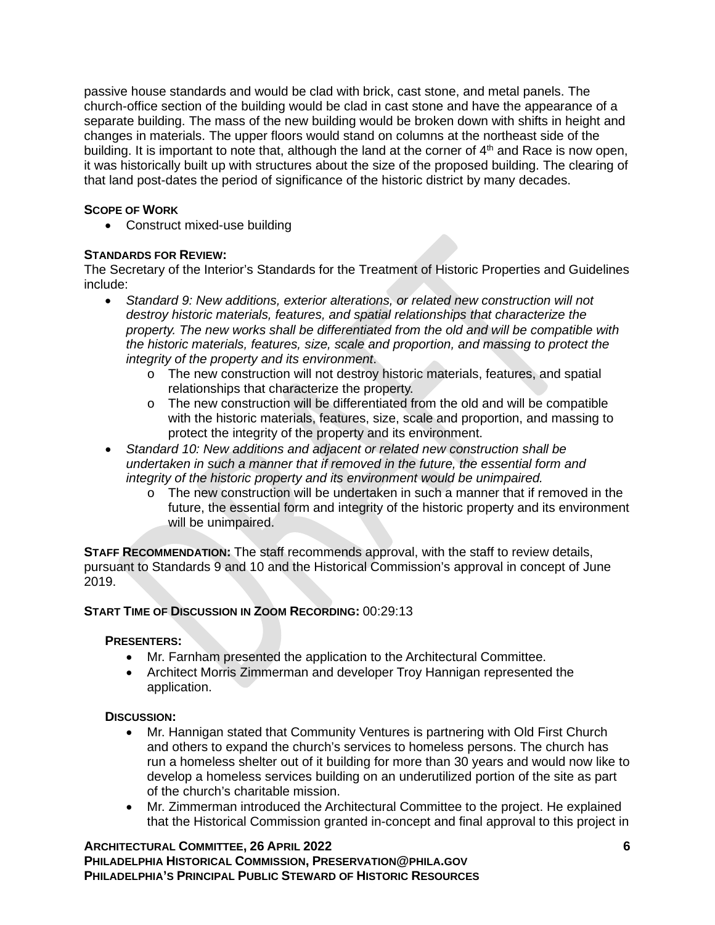passive house standards and would be clad with brick, cast stone, and metal panels. The church-office section of the building would be clad in cast stone and have the appearance of a separate building. The mass of the new building would be broken down with shifts in height and changes in materials. The upper floors would stand on columns at the northeast side of the building. It is important to note that, although the land at the corner of  $4<sup>th</sup>$  and Race is now open, it was historically built up with structures about the size of the proposed building. The clearing of that land post-dates the period of significance of the historic district by many decades.

# **SCOPE OF WORK**

• Construct mixed-use building

# **STANDARDS FOR REVIEW:**

The Secretary of the Interior's Standards for the Treatment of Historic Properties and Guidelines include:

- *Standard 9: New additions, exterior alterations, or related new construction will not destroy historic materials, features, and spatial relationships that characterize the property. The new works shall be differentiated from the old and will be compatible with the historic materials, features, size, scale and proportion, and massing to protect the integrity of the property and its environment*.
	- o The new construction will not destroy historic materials, features, and spatial relationships that characterize the property.
	- $\circ$  The new construction will be differentiated from the old and will be compatible with the historic materials, features, size, scale and proportion, and massing to protect the integrity of the property and its environment.
- *Standard 10: New additions and adjacent or related new construction shall be undertaken in such a manner that if removed in the future, the essential form and integrity of the historic property and its environment would be unimpaired.*
	- o The new construction will be undertaken in such a manner that if removed in the future, the essential form and integrity of the historic property and its environment will be unimpaired.

**STAFF RECOMMENDATION:** The staff recommends approval, with the staff to review details, pursuant to Standards 9 and 10 and the Historical Commission's approval in concept of June 2019.

## **START TIME OF DISCUSSION IN ZOOM RECORDING:** 00:29:13

## **PRESENTERS:**

- Mr. Farnham presented the application to the Architectural Committee.
- Architect Morris Zimmerman and developer Troy Hannigan represented the application.

## **DISCUSSION:**

- Mr. Hannigan stated that Community Ventures is partnering with Old First Church and others to expand the church's services to homeless persons. The church has run a homeless shelter out of it building for more than 30 years and would now like to develop a homeless services building on an underutilized portion of the site as part of the church's charitable mission.
- Mr. Zimmerman introduced the Architectural Committee to the project. He explained that the Historical Commission granted in-concept and final approval to this project in

**ARCHITECTURAL COMMITTEE, 26 APRIL 2022 6 PHILADELPHIA HISTORICAL COMMISSION, PRESERVATION@PHILA.GOV PHILADELPHIA'S PRINCIPAL PUBLIC STEWARD OF HISTORIC RESOURCES**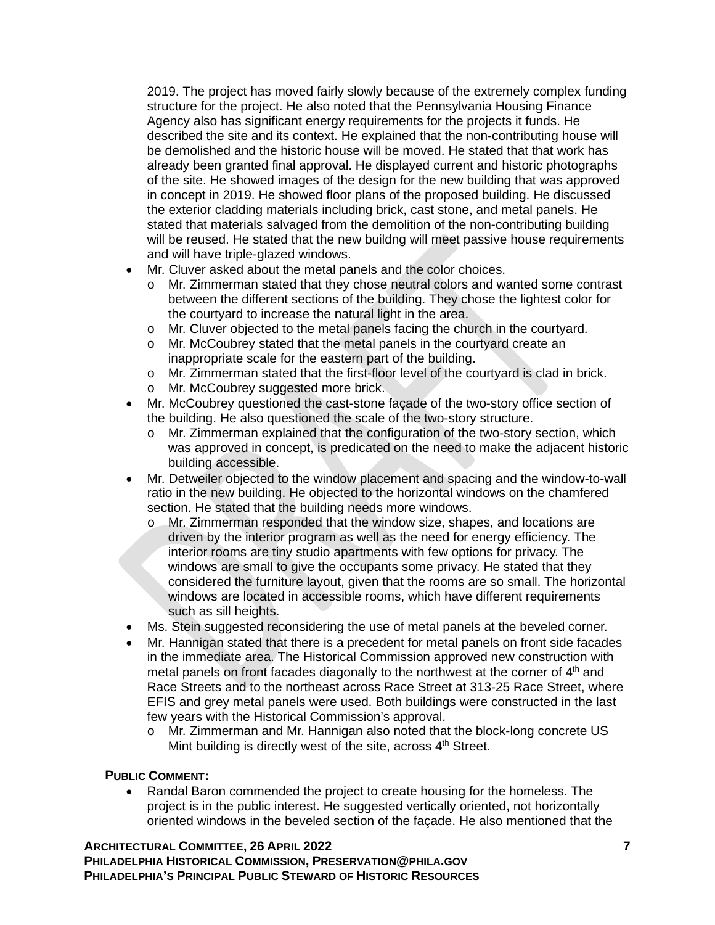2019. The project has moved fairly slowly because of the extremely complex funding structure for the project. He also noted that the Pennsylvania Housing Finance Agency also has significant energy requirements for the projects it funds. He described the site and its context. He explained that the non-contributing house will be demolished and the historic house will be moved. He stated that that work has already been granted final approval. He displayed current and historic photographs of the site. He showed images of the design for the new building that was approved in concept in 2019. He showed floor plans of the proposed building. He discussed the exterior cladding materials including brick, cast stone, and metal panels. He stated that materials salvaged from the demolition of the non-contributing building will be reused. He stated that the new buildng will meet passive house requirements and will have triple-glazed windows.

- Mr. Cluver asked about the metal panels and the color choices.
	- o Mr. Zimmerman stated that they chose neutral colors and wanted some contrast between the different sections of the building. They chose the lightest color for the courtyard to increase the natural light in the area.
	- o Mr. Cluver objected to the metal panels facing the church in the courtyard.<br>
	o Mr. McCoubrey stated that the metal panels in the courtyard create an
	- Mr. McCoubrey stated that the metal panels in the courtyard create an inappropriate scale for the eastern part of the building.
	- o Mr. Zimmerman stated that the first-floor level of the courtyard is clad in brick.<br>
	o Mr. McCoubrey suggested more brick. Mr. McCoubrey suggested more brick.
	-
- Mr. McCoubrey questioned the cast-stone façade of the two-story office section of the building. He also questioned the scale of the two-story structure.
	- o Mr. Zimmerman explained that the configuration of the two-story section, which was approved in concept, is predicated on the need to make the adjacent historic building accessible.
- Mr. Detweiler objected to the window placement and spacing and the window-to-wall ratio in the new building. He objected to the horizontal windows on the chamfered section. He stated that the building needs more windows.
	- o Mr. Zimmerman responded that the window size, shapes, and locations are driven by the interior program as well as the need for energy efficiency. The interior rooms are tiny studio apartments with few options for privacy. The windows are small to give the occupants some privacy. He stated that they considered the furniture layout, given that the rooms are so small. The horizontal windows are located in accessible rooms, which have different requirements such as sill heights.
- Ms. Stein suggested reconsidering the use of metal panels at the beveled corner.
- Mr. Hannigan stated that there is a precedent for metal panels on front side facades in the immediate area. The Historical Commission approved new construction with metal panels on front facades diagonally to the northwest at the corner of  $4<sup>th</sup>$  and Race Streets and to the northeast across Race Street at 313-25 Race Street, where EFIS and grey metal panels were used. Both buildings were constructed in the last few years with the Historical Commission's approval.
	- o Mr. Zimmerman and Mr. Hannigan also noted that the block-long concrete US Mint building is directly west of the site, across 4<sup>th</sup> Street.

## **PUBLIC COMMENT:**

• Randal Baron commended the project to create housing for the homeless. The project is in the public interest. He suggested vertically oriented, not horizontally oriented windows in the beveled section of the façade. He also mentioned that the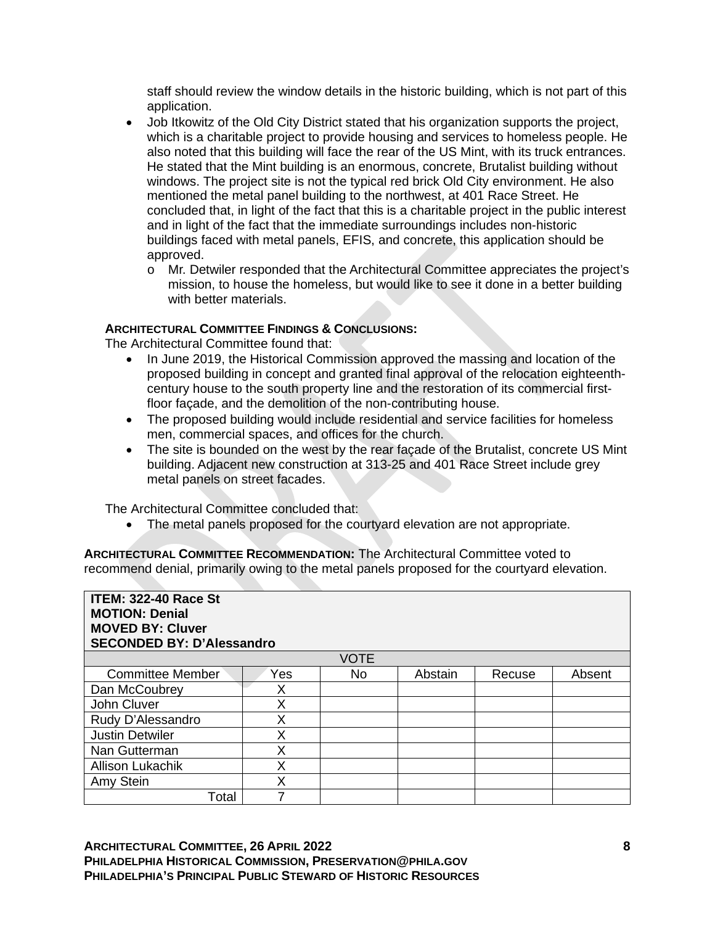staff should review the window details in the historic building, which is not part of this application.

- Job Itkowitz of the Old City District stated that his organization supports the project, which is a charitable project to provide housing and services to homeless people. He also noted that this building will face the rear of the US Mint, with its truck entrances. He stated that the Mint building is an enormous, concrete, Brutalist building without windows. The project site is not the typical red brick Old City environment. He also mentioned the metal panel building to the northwest, at 401 Race Street. He concluded that, in light of the fact that this is a charitable project in the public interest and in light of the fact that the immediate surroundings includes non-historic buildings faced with metal panels, EFIS, and concrete, this application should be approved.
	- o Mr. Detwiler responded that the Architectural Committee appreciates the project's mission, to house the homeless, but would like to see it done in a better building with better materials.

### **ARCHITECTURAL COMMITTEE FINDINGS & CONCLUSIONS:**

The Architectural Committee found that:

- In June 2019, the Historical Commission approved the massing and location of the proposed building in concept and granted final approval of the relocation eighteenthcentury house to the south property line and the restoration of its commercial firstfloor façade, and the demolition of the non-contributing house.
- The proposed building would include residential and service facilities for homeless men, commercial spaces, and offices for the church.
- The site is bounded on the west by the rear façade of the Brutalist, concrete US Mint building. Adjacent new construction at 313-25 and 401 Race Street include grey metal panels on street facades.

The Architectural Committee concluded that:

• The metal panels proposed for the courtyard elevation are not appropriate.

**ARCHITECTURAL COMMITTEE RECOMMENDATION:** The Architectural Committee voted to recommend denial, primarily owing to the metal panels proposed for the courtyard elevation.

| <b>ITEM: 322-40 Race St</b><br><b>MOTION: Denial</b><br><b>MOVED BY: Cluver</b><br><b>SECONDED BY: D'Alessandro</b> |     |             |         |        |        |  |  |  |
|---------------------------------------------------------------------------------------------------------------------|-----|-------------|---------|--------|--------|--|--|--|
|                                                                                                                     |     | <b>VOTE</b> |         |        |        |  |  |  |
| <b>Committee Member</b>                                                                                             | Yes | No.         | Abstain | Recuse | Absent |  |  |  |
| Dan McCoubrey                                                                                                       | X   |             |         |        |        |  |  |  |
| John Cluver                                                                                                         | Χ   |             |         |        |        |  |  |  |
| Rudy D'Alessandro                                                                                                   | X   |             |         |        |        |  |  |  |
| <b>Justin Detwiler</b>                                                                                              | Χ   |             |         |        |        |  |  |  |
| Nan Gutterman                                                                                                       | Χ   |             |         |        |        |  |  |  |
| <b>Allison Lukachik</b>                                                                                             | Χ   |             |         |        |        |  |  |  |
| Amy Stein                                                                                                           | Χ   |             |         |        |        |  |  |  |
| Total                                                                                                               |     |             |         |        |        |  |  |  |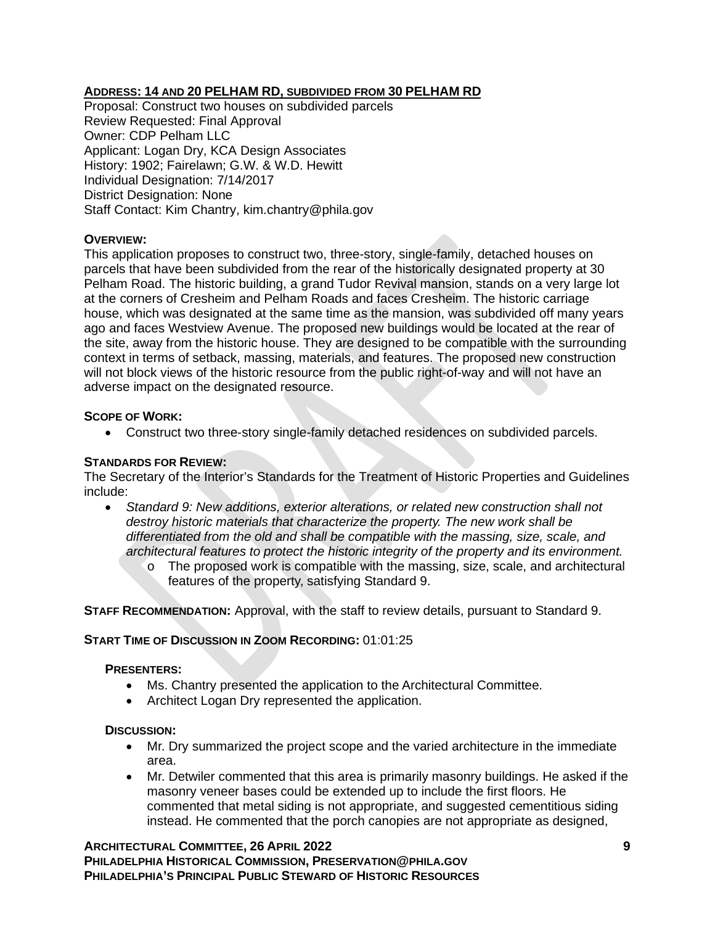# **ADDRESS: 14 AND 20 PELHAM RD, SUBDIVIDED FROM 30 PELHAM RD**

Proposal: Construct two houses on subdivided parcels Review Requested: Final Approval Owner: CDP Pelham LLC Applicant: Logan Dry, KCA Design Associates History: 1902; Fairelawn; G.W. & W.D. Hewitt Individual Designation: 7/14/2017 District Designation: None Staff Contact: Kim Chantry, kim.chantry@phila.gov

## **OVERVIEW:**

This application proposes to construct two, three-story, single-family, detached houses on parcels that have been subdivided from the rear of the historically designated property at 30 Pelham Road. The historic building, a grand Tudor Revival mansion, stands on a very large lot at the corners of Cresheim and Pelham Roads and faces Cresheim. The historic carriage house, which was designated at the same time as the mansion, was subdivided off many years ago and faces Westview Avenue. The proposed new buildings would be located at the rear of the site, away from the historic house. They are designed to be compatible with the surrounding context in terms of setback, massing, materials, and features. The proposed new construction will not block views of the historic resource from the public right-of-way and will not have an adverse impact on the designated resource.

### **SCOPE OF WORK:**

• Construct two three-story single-family detached residences on subdivided parcels.

### **STANDARDS FOR REVIEW:**

The Secretary of the Interior's Standards for the Treatment of Historic Properties and Guidelines include:

- *Standard 9: New additions, exterior alterations, or related new construction shall not destroy historic materials that characterize the property. The new work shall be differentiated from the old and shall be compatible with the massing, size, scale, and architectural features to protect the historic integrity of the property and its environment.*
	- $\circ$  The proposed work is compatible with the massing, size, scale, and architectural features of the property, satisfying Standard 9.

**STAFF RECOMMENDATION:** Approval, with the staff to review details, pursuant to Standard 9.

## **START TIME OF DISCUSSION IN ZOOM RECORDING:** 01:01:25

#### **PRESENTERS:**

- Ms. Chantry presented the application to the Architectural Committee.
- Architect Logan Dry represented the application.

#### **DISCUSSION:**

- Mr. Dry summarized the project scope and the varied architecture in the immediate area.
- Mr. Detwiler commented that this area is primarily masonry buildings. He asked if the masonry veneer bases could be extended up to include the first floors. He commented that metal siding is not appropriate, and suggested cementitious siding instead. He commented that the porch canopies are not appropriate as designed,

**ARCHITECTURAL COMMITTEE, 26 APRIL 2022 9 PHILADELPHIA HISTORICAL COMMISSION, PRESERVATION@PHILA.GOV PHILADELPHIA'S PRINCIPAL PUBLIC STEWARD OF HISTORIC RESOURCES**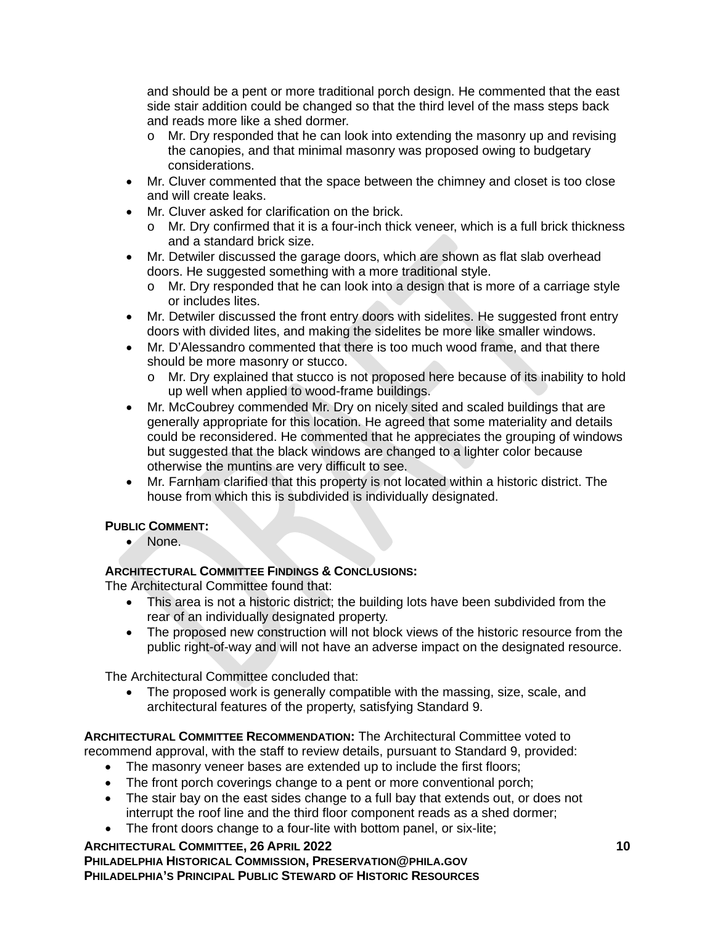and should be a pent or more traditional porch design. He commented that the east side stair addition could be changed so that the third level of the mass steps back and reads more like a shed dormer.

- o Mr. Dry responded that he can look into extending the masonry up and revising the canopies, and that minimal masonry was proposed owing to budgetary considerations.
- Mr. Cluver commented that the space between the chimney and closet is too close and will create leaks.
- Mr. Cluver asked for clarification on the brick.
	- $\circ$  Mr. Dry confirmed that it is a four-inch thick veneer, which is a full brick thickness and a standard brick size.
- Mr. Detwiler discussed the garage doors, which are shown as flat slab overhead doors. He suggested something with a more traditional style.
	- o Mr. Dry responded that he can look into a design that is more of a carriage style or includes lites.
- Mr. Detwiler discussed the front entry doors with sidelites. He suggested front entry doors with divided lites, and making the sidelites be more like smaller windows.
- Mr. D'Alessandro commented that there is too much wood frame, and that there should be more masonry or stucco.
	- o Mr. Dry explained that stucco is not proposed here because of its inability to hold up well when applied to wood-frame buildings.
- Mr. McCoubrey commended Mr. Dry on nicely sited and scaled buildings that are generally appropriate for this location. He agreed that some materiality and details could be reconsidered. He commented that he appreciates the grouping of windows but suggested that the black windows are changed to a lighter color because otherwise the muntins are very difficult to see.
- Mr. Farnham clarified that this property is not located within a historic district. The house from which this is subdivided is individually designated.

# **PUBLIC COMMENT:**

• None.

# **ARCHITECTURAL COMMITTEE FINDINGS & CONCLUSIONS:**

The Architectural Committee found that:

- This area is not a historic district; the building lots have been subdivided from the rear of an individually designated property.
- The proposed new construction will not block views of the historic resource from the public right-of-way and will not have an adverse impact on the designated resource.

The Architectural Committee concluded that:

• The proposed work is generally compatible with the massing, size, scale, and architectural features of the property, satisfying Standard 9.

**ARCHITECTURAL COMMITTEE RECOMMENDATION:** The Architectural Committee voted to

recommend approval, with the staff to review details, pursuant to Standard 9, provided:

- The masonry veneer bases are extended up to include the first floors;
- The front porch coverings change to a pent or more conventional porch;
- The stair bay on the east sides change to a full bay that extends out, or does not interrupt the roof line and the third floor component reads as a shed dormer;
- The front doors change to a four-lite with bottom panel, or six-lite;

### **ARCHITECTURAL COMMITTEE, 26 APRIL 2022 10 PHILADELPHIA HISTORICAL COMMISSION, PRESERVATION@PHILA.GOV PHILADELPHIA'S PRINCIPAL PUBLIC STEWARD OF HISTORIC RESOURCES**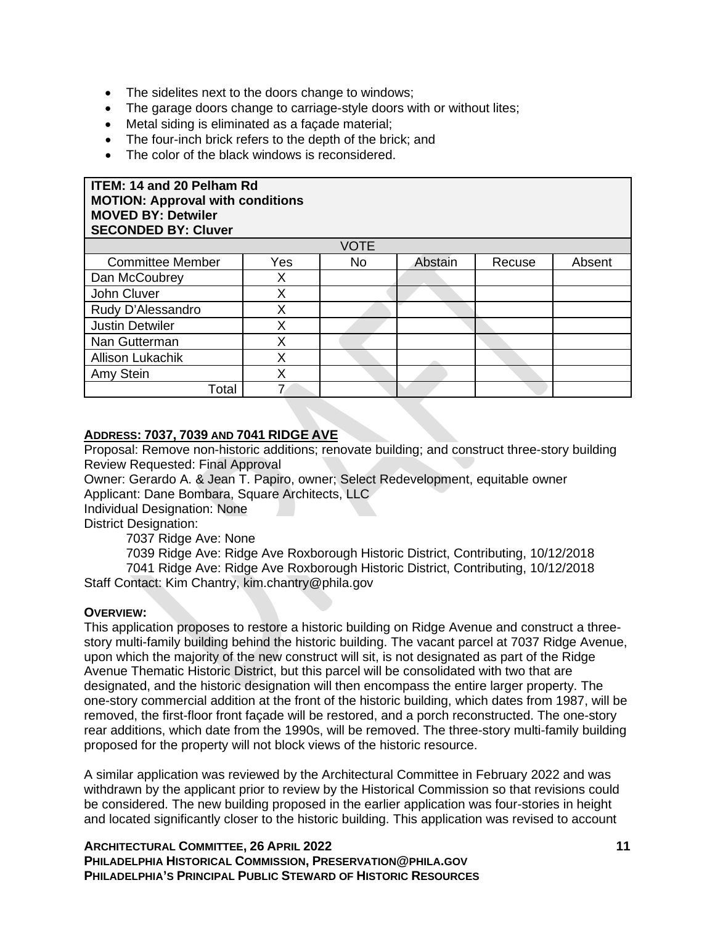- The sidelites next to the doors change to windows;
- The garage doors change to carriage-style doors with or without lites;
- Metal siding is eliminated as a façade material;
- The four-inch brick refers to the depth of the brick; and
- The color of the black windows is reconsidered.

### **ITEM: 14 and 20 Pelham Rd MOTION: Approval with conditions MOVED BY: Detwiler SECONDED BY: Cluver**

| <b>VOTE</b>             |     |           |         |        |        |  |
|-------------------------|-----|-----------|---------|--------|--------|--|
| <b>Committee Member</b> | Yes | <b>No</b> | Abstain | Recuse | Absent |  |
| Dan McCoubrey           |     |           |         |        |        |  |
| John Cluver             |     |           |         |        |        |  |
| Rudy D'Alessandro       |     |           |         |        |        |  |
| <b>Justin Detwiler</b>  |     |           |         |        |        |  |
| Nan Gutterman           |     |           |         |        |        |  |
| <b>Allison Lukachik</b> |     |           |         |        |        |  |
| Amy Stein               |     |           |         |        |        |  |
| Total                   |     |           |         |        |        |  |

### **ADDRESS: 7037, 7039 AND 7041 RIDGE AVE**

Proposal: Remove non-historic additions; renovate building; and construct three-story building Review Requested: Final Approval

Owner: Gerardo A. & Jean T. Papiro, owner; Select Redevelopment, equitable owner Applicant: Dane Bombara, Square Architects, LLC

Individual Designation: None

District Designation:

7037 Ridge Ave: None

7039 Ridge Ave: Ridge Ave Roxborough Historic District, Contributing, 10/12/2018 7041 Ridge Ave: Ridge Ave Roxborough Historic District, Contributing, 10/12/2018 Staff Contact: Kim Chantry, kim.chantry@phila.gov

#### **OVERVIEW:**

This application proposes to restore a historic building on Ridge Avenue and construct a threestory multi-family building behind the historic building. The vacant parcel at 7037 Ridge Avenue, upon which the majority of the new construct will sit, is not designated as part of the Ridge Avenue Thematic Historic District, but this parcel will be consolidated with two that are designated, and the historic designation will then encompass the entire larger property. The one-story commercial addition at the front of the historic building, which dates from 1987, will be removed, the first-floor front façade will be restored, and a porch reconstructed. The one-story rear additions, which date from the 1990s, will be removed. The three-story multi-family building proposed for the property will not block views of the historic resource.

A similar application was reviewed by the Architectural Committee in February 2022 and was withdrawn by the applicant prior to review by the Historical Commission so that revisions could be considered. The new building proposed in the earlier application was four-stories in height and located significantly closer to the historic building. This application was revised to account

**ARCHITECTURAL COMMITTEE, 26 APRIL 2022 11 PHILADELPHIA HISTORICAL COMMISSION, PRESERVATION@PHILA.GOV PHILADELPHIA'S PRINCIPAL PUBLIC STEWARD OF HISTORIC RESOURCES**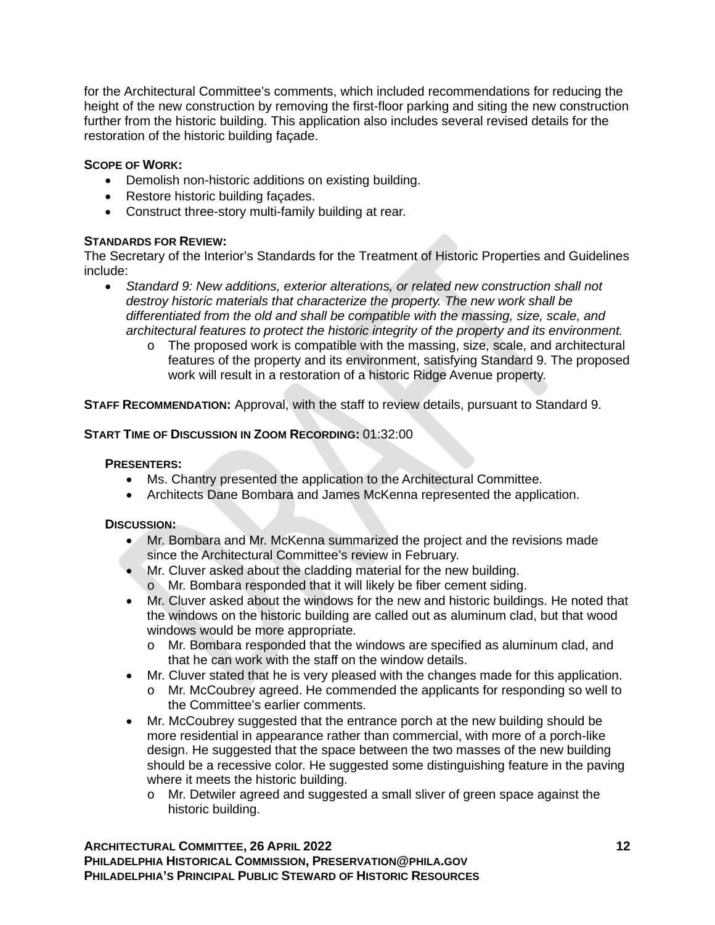for the Architectural Committee's comments, which included recommendations for reducing the height of the new construction by removing the first-floor parking and siting the new construction further from the historic building. This application also includes several revised details for the restoration of the historic building façade.

# **SCOPE OF WORK:**

- Demolish non-historic additions on existing building.
- Restore historic building façades.
- Construct three-story multi-family building at rear.

## **STANDARDS FOR REVIEW:**

The Secretary of the Interior's Standards for the Treatment of Historic Properties and Guidelines include:

- *Standard 9: New additions, exterior alterations, or related new construction shall not destroy historic materials that characterize the property. The new work shall be differentiated from the old and shall be compatible with the massing, size, scale, and architectural features to protect the historic integrity of the property and its environment.*
	- o The proposed work is compatible with the massing, size, scale, and architectural features of the property and its environment, satisfying Standard 9. The proposed work will result in a restoration of a historic Ridge Avenue property.

**STAFF RECOMMENDATION:** Approval, with the staff to review details, pursuant to Standard 9.

## **START TIME OF DISCUSSION IN ZOOM RECORDING:** 01:32:00

#### **PRESENTERS:**

- Ms. Chantry presented the application to the Architectural Committee.
- Architects Dane Bombara and James McKenna represented the application.

## **DISCUSSION:**

- Mr. Bombara and Mr. McKenna summarized the project and the revisions made since the Architectural Committee's review in February.
- Mr. Cluver asked about the cladding material for the new building.
	- o Mr. Bombara responded that it will likely be fiber cement siding.
- Mr. Cluver asked about the windows for the new and historic buildings. He noted that the windows on the historic building are called out as aluminum clad, but that wood windows would be more appropriate.
	- o Mr. Bombara responded that the windows are specified as aluminum clad, and that he can work with the staff on the window details.
- Mr. Cluver stated that he is very pleased with the changes made for this application.
	- o Mr. McCoubrey agreed. He commended the applicants for responding so well to the Committee's earlier comments.
- Mr. McCoubrey suggested that the entrance porch at the new building should be more residential in appearance rather than commercial, with more of a porch-like design. He suggested that the space between the two masses of the new building should be a recessive color. He suggested some distinguishing feature in the paving where it meets the historic building.
	- o Mr. Detwiler agreed and suggested a small sliver of green space against the historic building.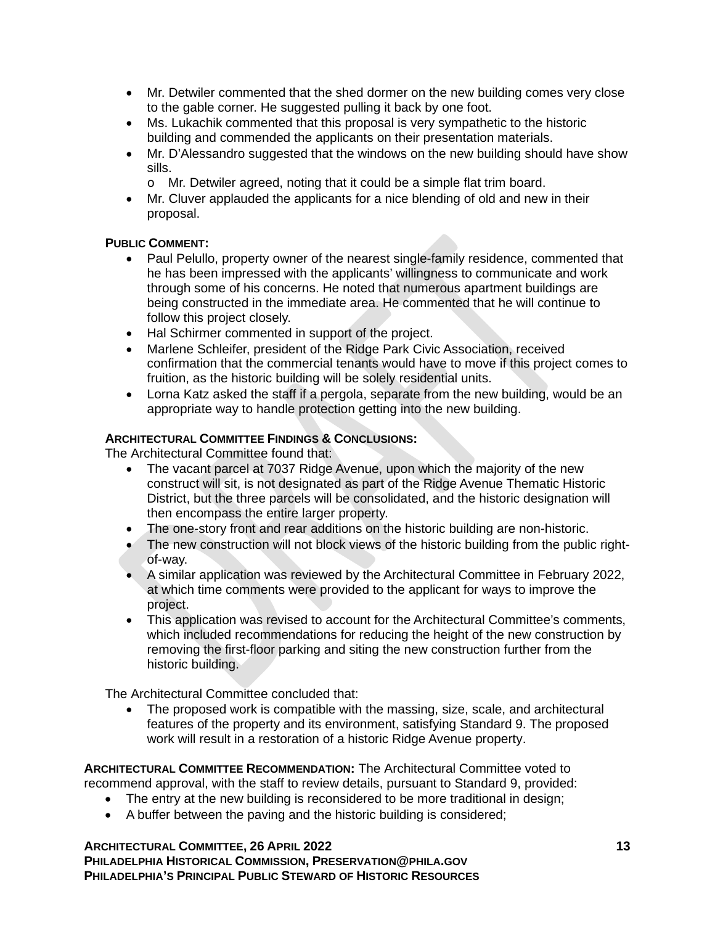- Mr. Detwiler commented that the shed dormer on the new building comes very close to the gable corner. He suggested pulling it back by one foot.
- Ms. Lukachik commented that this proposal is very sympathetic to the historic building and commended the applicants on their presentation materials.
- Mr. D'Alessandro suggested that the windows on the new building should have show sills.
	- o Mr. Detwiler agreed, noting that it could be a simple flat trim board.
- Mr. Cluver applauded the applicants for a nice blending of old and new in their proposal.

## **PUBLIC COMMENT:**

- Paul Pelullo, property owner of the nearest single-family residence, commented that he has been impressed with the applicants' willingness to communicate and work through some of his concerns. He noted that numerous apartment buildings are being constructed in the immediate area. He commented that he will continue to follow this project closely.
- Hal Schirmer commented in support of the project.
- Marlene Schleifer, president of the Ridge Park Civic Association, received confirmation that the commercial tenants would have to move if this project comes to fruition, as the historic building will be solely residential units.
- Lorna Katz asked the staff if a pergola, separate from the new building, would be an appropriate way to handle protection getting into the new building.

### **ARCHITECTURAL COMMITTEE FINDINGS & CONCLUSIONS:**

The Architectural Committee found that:

- The vacant parcel at 7037 Ridge Avenue, upon which the majority of the new construct will sit, is not designated as part of the Ridge Avenue Thematic Historic District, but the three parcels will be consolidated, and the historic designation will then encompass the entire larger property.
- The one-story front and rear additions on the historic building are non-historic.
- The new construction will not block views of the historic building from the public rightof-way.
- A similar application was reviewed by the Architectural Committee in February 2022, at which time comments were provided to the applicant for ways to improve the project.
- This application was revised to account for the Architectural Committee's comments, which included recommendations for reducing the height of the new construction by removing the first-floor parking and siting the new construction further from the historic building.

The Architectural Committee concluded that:

• The proposed work is compatible with the massing, size, scale, and architectural features of the property and its environment, satisfying Standard 9. The proposed work will result in a restoration of a historic Ridge Avenue property.

**ARCHITECTURAL COMMITTEE RECOMMENDATION:** The Architectural Committee voted to recommend approval, with the staff to review details, pursuant to Standard 9, provided:

- The entry at the new building is reconsidered to be more traditional in design;
- A buffer between the paving and the historic building is considered;

**ARCHITECTURAL COMMITTEE, 26 APRIL 2022 13 PHILADELPHIA HISTORICAL COMMISSION, PRESERVATION@PHILA.GOV PHILADELPHIA'S PRINCIPAL PUBLIC STEWARD OF HISTORIC RESOURCES**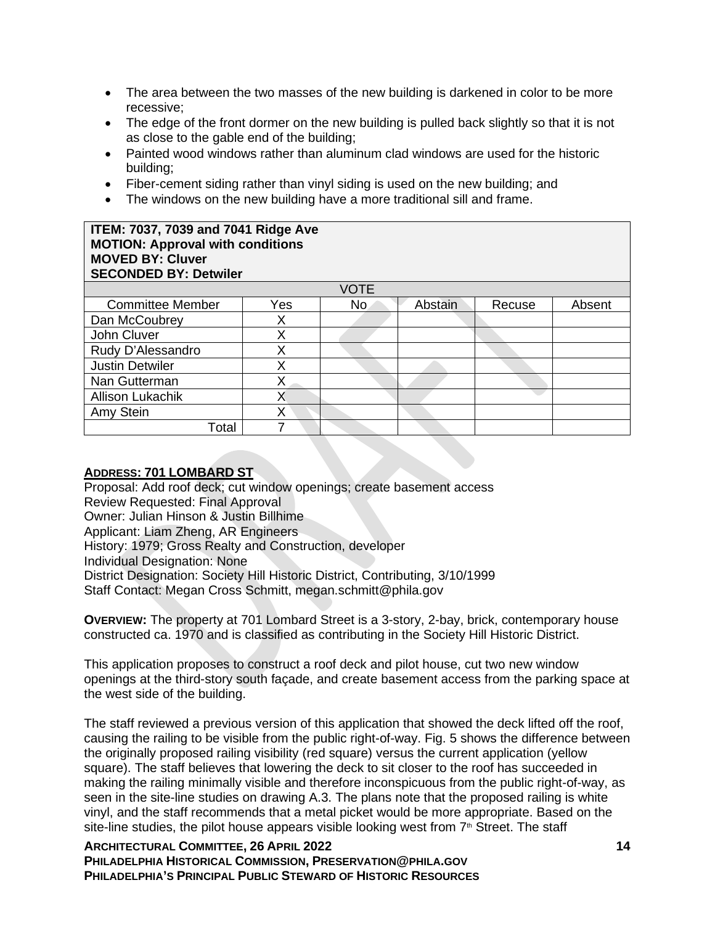- The area between the two masses of the new building is darkened in color to be more recessive;
- The edge of the front dormer on the new building is pulled back slightly so that it is not as close to the gable end of the building;
- Painted wood windows rather than aluminum clad windows are used for the historic building;
- Fiber-cement siding rather than vinyl siding is used on the new building; and
- The windows on the new building have a more traditional sill and frame.

#### **ITEM: 7037, 7039 and 7041 Ridge Ave MOTION: Approval with conditions MOVED BY: Cluver SECONDED BY: Detwiler**

| <b>VOTE</b>             |     |     |         |        |        |  |
|-------------------------|-----|-----|---------|--------|--------|--|
| <b>Committee Member</b> | Yes | No. | Abstain | Recuse | Absent |  |
| Dan McCoubrey           |     |     |         |        |        |  |
| John Cluver             |     |     |         |        |        |  |
| Rudy D'Alessandro       |     |     |         |        |        |  |
| <b>Justin Detwiler</b>  |     |     |         |        |        |  |
| Nan Gutterman           |     |     |         |        |        |  |
| <b>Allison Lukachik</b> |     |     |         |        |        |  |
| Amy Stein               |     |     |         |        |        |  |
| Total                   |     |     |         |        |        |  |

# **ADDRESS: 701 LOMBARD ST**

Proposal: Add roof deck; cut window openings; create basement access Review Requested: Final Approval Owner: Julian Hinson & Justin Billhime Applicant: Liam Zheng, AR Engineers History: 1979; Gross Realty and Construction, developer Individual Designation: None District Designation: Society Hill Historic District, Contributing, 3/10/1999 Staff Contact: Megan Cross Schmitt, megan.schmitt@phila.gov

**OVERVIEW:** The property at 701 Lombard Street is a 3-story, 2-bay, brick, contemporary house constructed ca. 1970 and is classified as contributing in the Society Hill Historic District.

This application proposes to construct a roof deck and pilot house, cut two new window openings at the third-story south façade, and create basement access from the parking space at the west side of the building.

The staff reviewed a previous version of this application that showed the deck lifted off the roof, causing the railing to be visible from the public right-of-way. Fig. 5 shows the difference between the originally proposed railing visibility (red square) versus the current application (yellow square). The staff believes that lowering the deck to sit closer to the roof has succeeded in making the railing minimally visible and therefore inconspicuous from the public right-of-way, as seen in the site-line studies on drawing A.3. The plans note that the proposed railing is white vinyl, and the staff recommends that a metal picket would be more appropriate. Based on the site-line studies, the pilot house appears visible looking west from  $7<sup>th</sup>$  Street. The staff

**ARCHITECTURAL COMMITTEE, 26 APRIL 2022 14 PHILADELPHIA HISTORICAL COMMISSION, PRESERVATION@PHILA.GOV PHILADELPHIA'S PRINCIPAL PUBLIC STEWARD OF HISTORIC RESOURCES**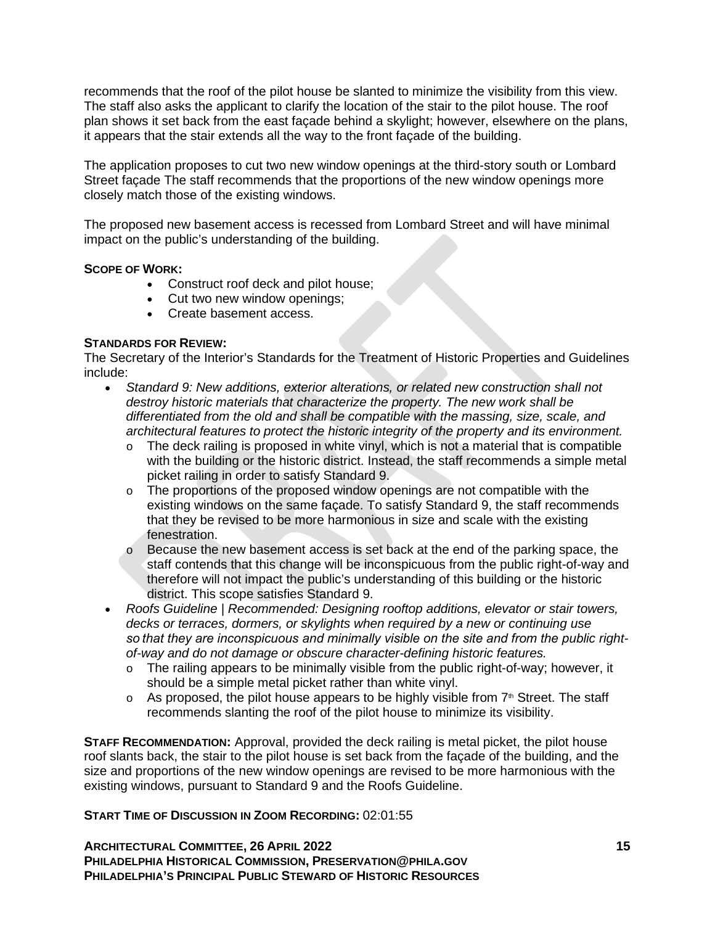recommends that the roof of the pilot house be slanted to minimize the visibility from this view. The staff also asks the applicant to clarify the location of the stair to the pilot house. The roof plan shows it set back from the east façade behind a skylight; however, elsewhere on the plans, it appears that the stair extends all the way to the front façade of the building.

The application proposes to cut two new window openings at the third-story south or Lombard Street façade The staff recommends that the proportions of the new window openings more closely match those of the existing windows.

The proposed new basement access is recessed from Lombard Street and will have minimal impact on the public's understanding of the building.

### **SCOPE OF WORK:**

- Construct roof deck and pilot house;
- Cut two new window openings;
- Create basement access.

## **STANDARDS FOR REVIEW:**

The Secretary of the Interior's Standards for the Treatment of Historic Properties and Guidelines include:

- *Standard 9: New additions, exterior alterations, or related new construction shall not destroy historic materials that characterize the property. The new work shall be differentiated from the old and shall be compatible with the massing, size, scale, and architectural features to protect the historic integrity of the property and its environment.*
	- $\circ$  The deck railing is proposed in white vinyl, which is not a material that is compatible with the building or the historic district. Instead, the staff recommends a simple metal picket railing in order to satisfy Standard 9.
	- o The proportions of the proposed window openings are not compatible with the existing windows on the same façade. To satisfy Standard 9, the staff recommends that they be revised to be more harmonious in size and scale with the existing fenestration.
	- $\circ$  Because the new basement access is set back at the end of the parking space, the staff contends that this change will be inconspicuous from the public right-of-way and therefore will not impact the public's understanding of this building or the historic district. This scope satisfies Standard 9.
- *Roofs Guideline | Recommended: Designing rooftop additions, elevator or stair towers, decks or terraces, dormers, or skylights when required by a new or continuing use*  so that they are inconspicuous and minimally visible on the site and from the public right*of-way and do not damage or obscure character-defining historic features.*
	- o The railing appears to be minimally visible from the public right-of-way; however, it should be a simple metal picket rather than white vinyl.
	- $\circ$  As proposed, the pilot house appears to be highly visible from  $7<sup>th</sup>$  Street. The staff recommends slanting the roof of the pilot house to minimize its visibility.

**STAFF RECOMMENDATION:** Approval, provided the deck railing is metal picket, the pilot house roof slants back, the stair to the pilot house is set back from the façade of the building, and the size and proportions of the new window openings are revised to be more harmonious with the existing windows, pursuant to Standard 9 and the Roofs Guideline.

## **START TIME OF DISCUSSION IN ZOOM RECORDING:** 02:01:55

**ARCHITECTURAL COMMITTEE, 26 APRIL 2022 15 PHILADELPHIA HISTORICAL COMMISSION, PRESERVATION@PHILA.GOV PHILADELPHIA'S PRINCIPAL PUBLIC STEWARD OF HISTORIC RESOURCES**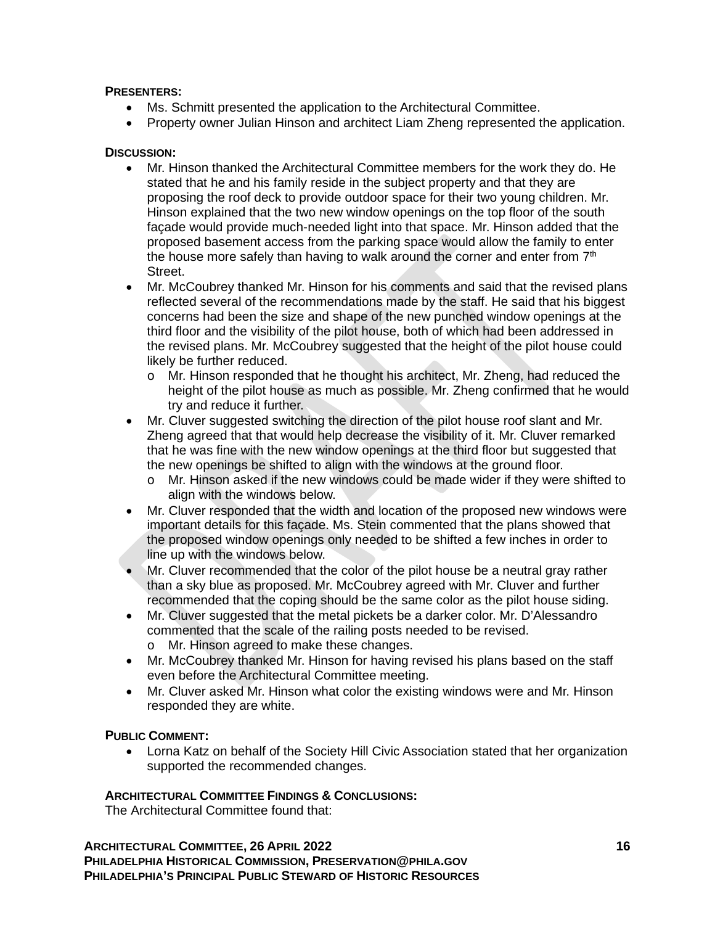# **PRESENTERS:**

- Ms. Schmitt presented the application to the Architectural Committee.
- Property owner Julian Hinson and architect Liam Zheng represented the application.

## **DISCUSSION:**

- Mr. Hinson thanked the Architectural Committee members for the work they do. He stated that he and his family reside in the subject property and that they are proposing the roof deck to provide outdoor space for their two young children. Mr. Hinson explained that the two new window openings on the top floor of the south façade would provide much-needed light into that space. Mr. Hinson added that the proposed basement access from the parking space would allow the family to enter the house more safely than having to walk around the corner and enter from  $7<sup>th</sup>$ Street.
- Mr. McCoubrey thanked Mr. Hinson for his comments and said that the revised plans reflected several of the recommendations made by the staff. He said that his biggest concerns had been the size and shape of the new punched window openings at the third floor and the visibility of the pilot house, both of which had been addressed in the revised plans. Mr. McCoubrey suggested that the height of the pilot house could likely be further reduced.
	- o Mr. Hinson responded that he thought his architect, Mr. Zheng, had reduced the height of the pilot house as much as possible. Mr. Zheng confirmed that he would try and reduce it further.
- Mr. Cluver suggested switching the direction of the pilot house roof slant and Mr. Zheng agreed that that would help decrease the visibility of it. Mr. Cluver remarked that he was fine with the new window openings at the third floor but suggested that the new openings be shifted to align with the windows at the ground floor.
	- o Mr. Hinson asked if the new windows could be made wider if they were shifted to align with the windows below.
- Mr. Cluver responded that the width and location of the proposed new windows were important details for this façade. Ms. Stein commented that the plans showed that the proposed window openings only needed to be shifted a few inches in order to line up with the windows below.
- Mr. Cluver recommended that the color of the pilot house be a neutral gray rather than a sky blue as proposed. Mr. McCoubrey agreed with Mr. Cluver and further recommended that the coping should be the same color as the pilot house siding.
- Mr. Cluver suggested that the metal pickets be a darker color. Mr. D'Alessandro commented that the scale of the railing posts needed to be revised.
	- o Mr. Hinson agreed to make these changes.
- Mr. McCoubrey thanked Mr. Hinson for having revised his plans based on the staff even before the Architectural Committee meeting.
- Mr. Cluver asked Mr. Hinson what color the existing windows were and Mr. Hinson responded they are white.

## **PUBLIC COMMENT:**

• Lorna Katz on behalf of the Society Hill Civic Association stated that her organization supported the recommended changes.

## **ARCHITECTURAL COMMITTEE FINDINGS & CONCLUSIONS:**

The Architectural Committee found that: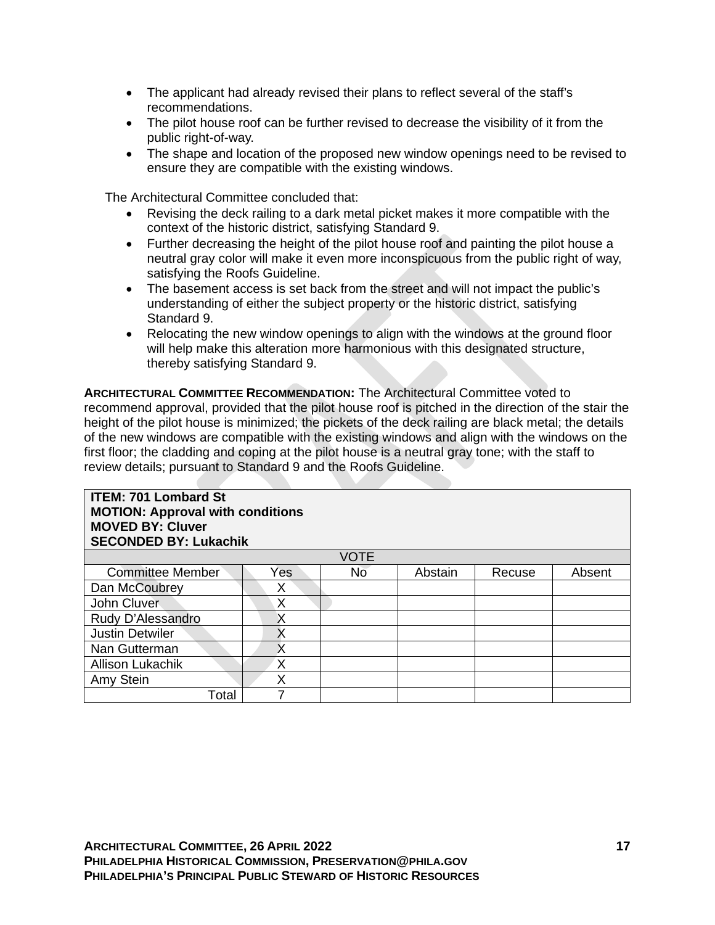- The applicant had already revised their plans to reflect several of the staff's recommendations.
- The pilot house roof can be further revised to decrease the visibility of it from the public right-of-way.
- The shape and location of the proposed new window openings need to be revised to ensure they are compatible with the existing windows.

The Architectural Committee concluded that:

- Revising the deck railing to a dark metal picket makes it more compatible with the context of the historic district, satisfying Standard 9.
- Further decreasing the height of the pilot house roof and painting the pilot house a neutral gray color will make it even more inconspicuous from the public right of way, satisfying the Roofs Guideline.
- The basement access is set back from the street and will not impact the public's understanding of either the subject property or the historic district, satisfying Standard 9.
- Relocating the new window openings to align with the windows at the ground floor will help make this alteration more harmonious with this designated structure, thereby satisfying Standard 9.

**ARCHITECTURAL COMMITTEE RECOMMENDATION:** The Architectural Committee voted to recommend approval, provided that the pilot house roof is pitched in the direction of the stair the height of the pilot house is minimized; the pickets of the deck railing are black metal; the details of the new windows are compatible with the existing windows and align with the windows on the first floor; the cladding and coping at the pilot house is a neutral gray tone; with the staff to review details; pursuant to Standard 9 and the Roofs Guideline.

| <b>ITEM: 701 Lombard St</b><br><b>MOTION: Approval with conditions</b><br><b>MOVED BY: Cluver</b><br><b>SECONDED BY: Lukachik</b> |     |             |         |        |        |  |  |
|-----------------------------------------------------------------------------------------------------------------------------------|-----|-------------|---------|--------|--------|--|--|
|                                                                                                                                   |     | <b>VOTE</b> |         |        |        |  |  |
| <b>Committee Member</b>                                                                                                           | Yes | No          | Abstain | Recuse | Absent |  |  |
| Dan McCoubrey                                                                                                                     | X   |             |         |        |        |  |  |
| John Cluver                                                                                                                       | X   |             |         |        |        |  |  |
| Rudy D'Alessandro                                                                                                                 | Χ   |             |         |        |        |  |  |
| <b>Justin Detwiler</b>                                                                                                            | Χ   |             |         |        |        |  |  |
| Nan Gutterman                                                                                                                     | X   |             |         |        |        |  |  |
| <b>Allison Lukachik</b>                                                                                                           | X   |             |         |        |        |  |  |
| Amy Stein                                                                                                                         | X   |             |         |        |        |  |  |
| Total                                                                                                                             |     |             |         |        |        |  |  |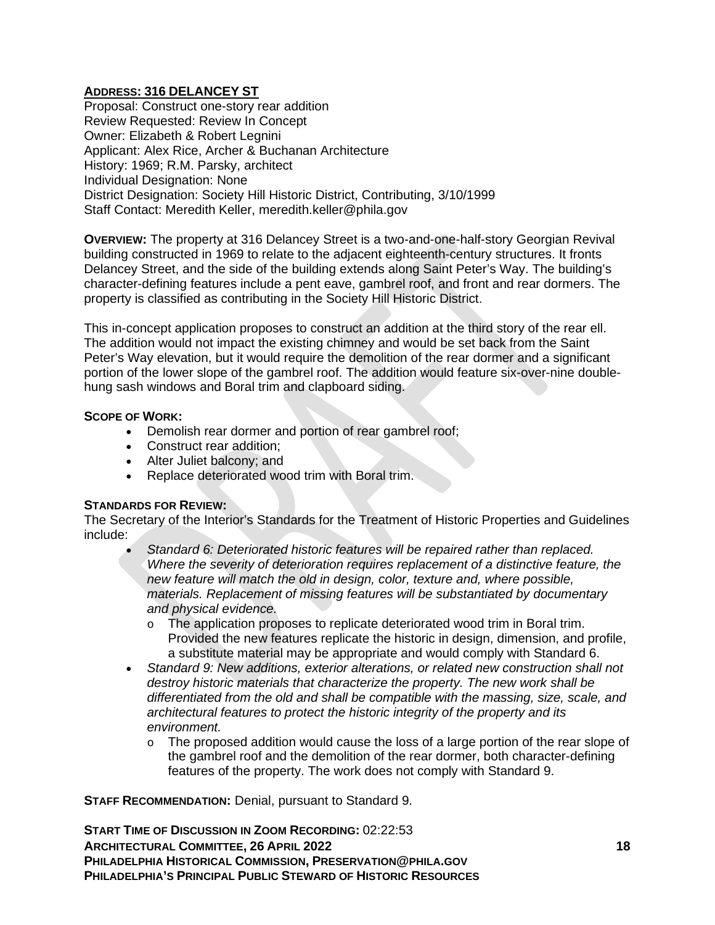# **ADDRESS: 316 DELANCEY ST**

Proposal: Construct one-story rear addition Review Requested: Review In Concept Owner: Elizabeth & Robert Legnini Applicant: Alex Rice, Archer & Buchanan Architecture History: 1969; R.M. Parsky, architect Individual Designation: None District Designation: Society Hill Historic District, Contributing, 3/10/1999 Staff Contact: Meredith Keller, meredith.keller@phila.gov

**OVERVIEW:** The property at 316 Delancey Street is a two-and-one-half-story Georgian Revival building constructed in 1969 to relate to the adjacent eighteenth-century structures. It fronts Delancey Street, and the side of the building extends along Saint Peter's Way. The building's character-defining features include a pent eave, gambrel roof, and front and rear dormers. The property is classified as contributing in the Society Hill Historic District.

This in-concept application proposes to construct an addition at the third story of the rear ell. The addition would not impact the existing chimney and would be set back from the Saint Peter's Way elevation, but it would require the demolition of the rear dormer and a significant portion of the lower slope of the gambrel roof. The addition would feature six-over-nine doublehung sash windows and Boral trim and clapboard siding.

## **SCOPE OF WORK:**

- Demolish rear dormer and portion of rear gambrel roof;
- Construct rear addition;
- Alter Juliet balcony; and
- Replace deteriorated wood trim with Boral trim.

## **STANDARDS FOR REVIEW:**

The Secretary of the Interior's Standards for the Treatment of Historic Properties and Guidelines include:

- *Standard 6: Deteriorated historic features will be repaired rather than replaced. Where the severity of deterioration requires replacement of a distinctive feature, the new feature will match the old in design, color, texture and, where possible, materials. Replacement of missing features will be substantiated by documentary and physical evidence.*
	- o The application proposes to replicate deteriorated wood trim in Boral trim. Provided the new features replicate the historic in design, dimension, and profile, a substitute material may be appropriate and would comply with Standard 6.
- *Standard 9: New additions, exterior alterations, or related new construction shall not destroy historic materials that characterize the property. The new work shall be differentiated from the old and shall be compatible with the massing, size, scale, and architectural features to protect the historic integrity of the property and its environment.*
	- $\circ$  The proposed addition would cause the loss of a large portion of the rear slope of the gambrel roof and the demolition of the rear dormer, both character-defining features of the property. The work does not comply with Standard 9.

**STAFF RECOMMENDATION:** Denial, pursuant to Standard 9.

**ARCHITECTURAL COMMITTEE, 26 APRIL 2022 18 PHILADELPHIA HISTORICAL COMMISSION, PRESERVATION@PHILA.GOV PHILADELPHIA'S PRINCIPAL PUBLIC STEWARD OF HISTORIC RESOURCES START TIME OF DISCUSSION IN ZOOM RECORDING:** 02:22:53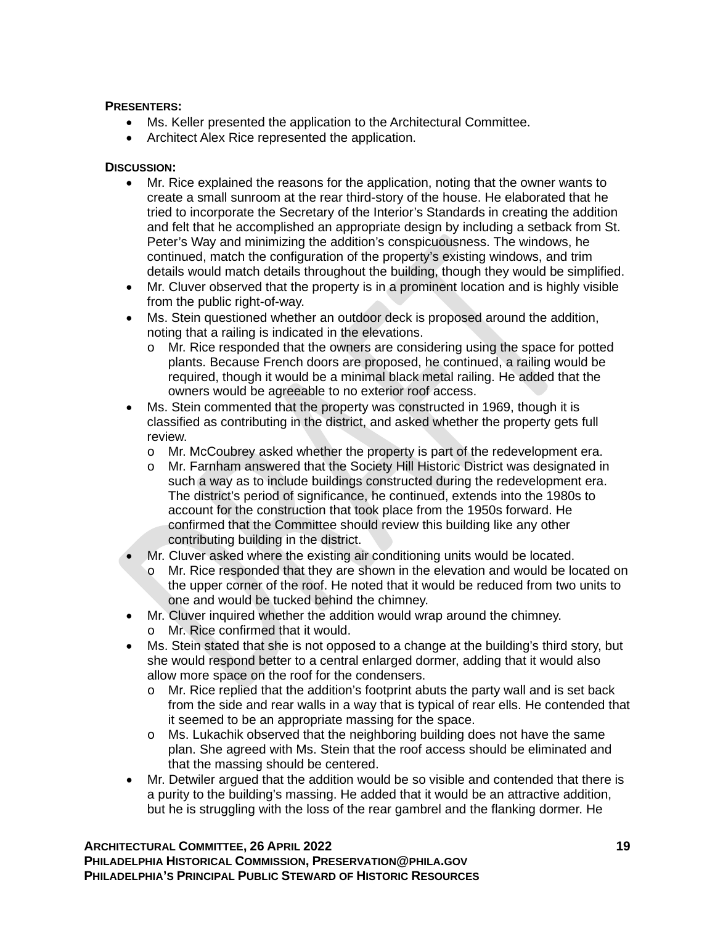# **PRESENTERS:**

- Ms. Keller presented the application to the Architectural Committee.
- Architect Alex Rice represented the application.

# **DISCUSSION:**

- Mr. Rice explained the reasons for the application, noting that the owner wants to create a small sunroom at the rear third-story of the house. He elaborated that he tried to incorporate the Secretary of the Interior's Standards in creating the addition and felt that he accomplished an appropriate design by including a setback from St. Peter's Way and minimizing the addition's conspicuousness. The windows, he continued, match the configuration of the property's existing windows, and trim details would match details throughout the building, though they would be simplified.
- Mr. Cluver observed that the property is in a prominent location and is highly visible from the public right-of-way.
- Ms. Stein questioned whether an outdoor deck is proposed around the addition, noting that a railing is indicated in the elevations.
	- o Mr. Rice responded that the owners are considering using the space for potted plants. Because French doors are proposed, he continued, a railing would be required, though it would be a minimal black metal railing. He added that the owners would be agreeable to no exterior roof access.
- Ms. Stein commented that the property was constructed in 1969, though it is classified as contributing in the district, and asked whether the property gets full review.
	- o Mr. McCoubrey asked whether the property is part of the redevelopment era.<br>
	o Mr. Farnham answered that the Society Hill Historic District was designated in
	- Mr. Farnham answered that the Society Hill Historic District was designated in such a way as to include buildings constructed during the redevelopment era. The district's period of significance, he continued, extends into the 1980s to account for the construction that took place from the 1950s forward. He confirmed that the Committee should review this building like any other contributing building in the district.
- Mr. Cluver asked where the existing air conditioning units would be located.
	- o Mr. Rice responded that they are shown in the elevation and would be located on the upper corner of the roof. He noted that it would be reduced from two units to one and would be tucked behind the chimney.
- Mr. Cluver inquired whether the addition would wrap around the chimney. o Mr. Rice confirmed that it would.
- Ms. Stein stated that she is not opposed to a change at the building's third story, but she would respond better to a central enlarged dormer, adding that it would also allow more space on the roof for the condensers.
	- $\circ$  Mr. Rice replied that the addition's footprint abuts the party wall and is set back from the side and rear walls in a way that is typical of rear ells. He contended that it seemed to be an appropriate massing for the space.
	- o Ms. Lukachik observed that the neighboring building does not have the same plan. She agreed with Ms. Stein that the roof access should be eliminated and that the massing should be centered.
- Mr. Detwiler argued that the addition would be so visible and contended that there is a purity to the building's massing. He added that it would be an attractive addition, but he is struggling with the loss of the rear gambrel and the flanking dormer. He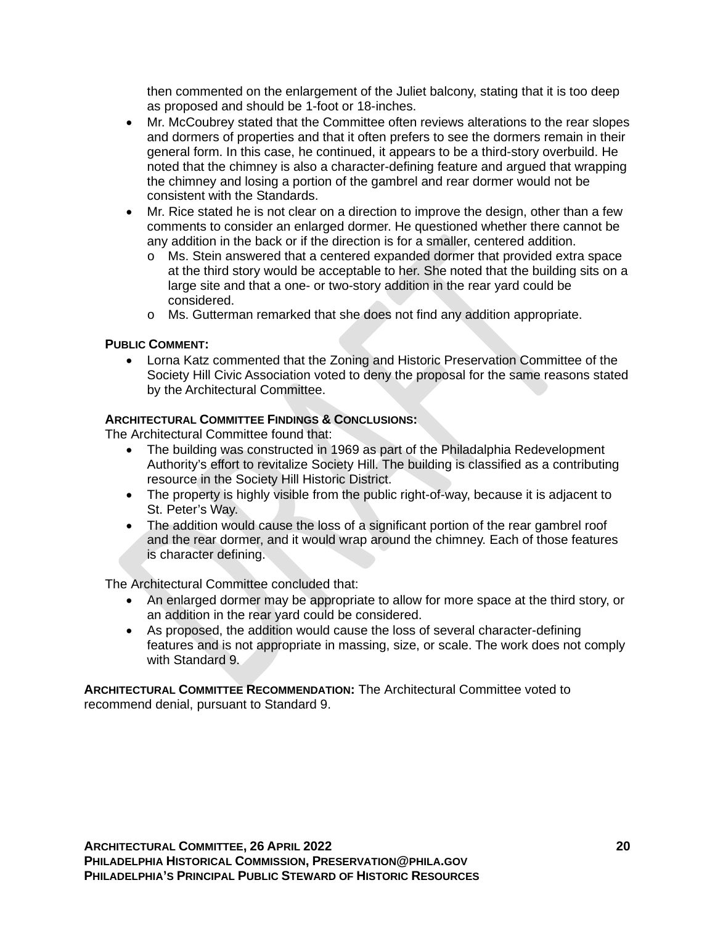then commented on the enlargement of the Juliet balcony, stating that it is too deep as proposed and should be 1-foot or 18-inches.

- Mr. McCoubrey stated that the Committee often reviews alterations to the rear slopes and dormers of properties and that it often prefers to see the dormers remain in their general form. In this case, he continued, it appears to be a third-story overbuild. He noted that the chimney is also a character-defining feature and argued that wrapping the chimney and losing a portion of the gambrel and rear dormer would not be consistent with the Standards.
- Mr. Rice stated he is not clear on a direction to improve the design, other than a few comments to consider an enlarged dormer. He questioned whether there cannot be any addition in the back or if the direction is for a smaller, centered addition.
	- o Ms. Stein answered that a centered expanded dormer that provided extra space at the third story would be acceptable to her. She noted that the building sits on a large site and that a one- or two-story addition in the rear yard could be considered.
	- o Ms. Gutterman remarked that she does not find any addition appropriate.

### **PUBLIC COMMENT:**

• Lorna Katz commented that the Zoning and Historic Preservation Committee of the Society Hill Civic Association voted to deny the proposal for the same reasons stated by the Architectural Committee.

#### **ARCHITECTURAL COMMITTEE FINDINGS & CONCLUSIONS:**

The Architectural Committee found that:

- The building was constructed in 1969 as part of the Philadalphia Redevelopment Authority's effort to revitalize Society Hill. The building is classified as a contributing resource in the Society Hill Historic District.
- The property is highly visible from the public right-of-way, because it is adjacent to St. Peter's Way.
- The addition would cause the loss of a significant portion of the rear gambrel roof and the rear dormer, and it would wrap around the chimney. Each of those features is character defining.

The Architectural Committee concluded that:

- An enlarged dormer may be appropriate to allow for more space at the third story, or an addition in the rear yard could be considered.
- As proposed, the addition would cause the loss of several character-defining features and is not appropriate in massing, size, or scale. The work does not comply with Standard 9.

**ARCHITECTURAL COMMITTEE RECOMMENDATION:** The Architectural Committee voted to recommend denial, pursuant to Standard 9.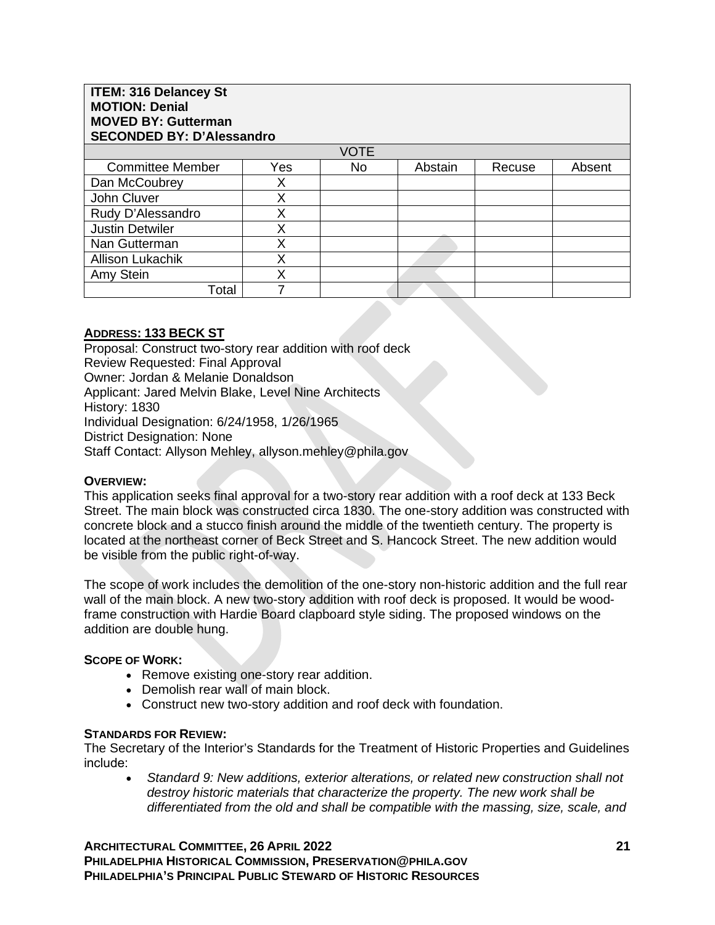| <b>ITEM: 316 Delancey St</b><br><b>MOTION: Denial</b><br><b>MOVED BY: Gutterman</b><br><b>SECONDED BY: D'Alessandro</b> |     |             |         |        |        |  |  |
|-------------------------------------------------------------------------------------------------------------------------|-----|-------------|---------|--------|--------|--|--|
|                                                                                                                         |     | <b>VOTE</b> |         |        |        |  |  |
| <b>Committee Member</b>                                                                                                 | Yes | No.         | Abstain | Recuse | Absent |  |  |
| Dan McCoubrey                                                                                                           | Χ   |             |         |        |        |  |  |
| John Cluver                                                                                                             | X   |             |         |        |        |  |  |
| Rudy D'Alessandro                                                                                                       | Χ   |             |         |        |        |  |  |
| <b>Justin Detwiler</b>                                                                                                  | Χ   |             |         |        |        |  |  |
| Nan Gutterman                                                                                                           | X   |             |         |        |        |  |  |
| <b>Allison Lukachik</b>                                                                                                 | X   |             |         |        |        |  |  |
| Amy Stein                                                                                                               | Χ   |             |         |        |        |  |  |
| Total                                                                                                                   |     |             |         |        |        |  |  |

## **ADDRESS: 133 BECK ST**

Proposal: Construct two-story rear addition with roof deck Review Requested: Final Approval Owner: Jordan & Melanie Donaldson Applicant: Jared Melvin Blake, Level Nine Architects History: 1830 Individual Designation: 6/24/1958, 1/26/1965 District Designation: None Staff Contact: Allyson Mehley, allyson.mehley@phila.gov

#### **OVERVIEW:**

This application seeks final approval for a two-story rear addition with a roof deck at 133 Beck Street. The main block was constructed circa 1830. The one-story addition was constructed with concrete block and a stucco finish around the middle of the twentieth century. The property is located at the northeast corner of Beck Street and S. Hancock Street. The new addition would be visible from the public right-of-way.

The scope of work includes the demolition of the one-story non-historic addition and the full rear wall of the main block. A new two-story addition with roof deck is proposed. It would be woodframe construction with Hardie Board clapboard style siding. The proposed windows on the addition are double hung.

## **SCOPE OF WORK:**

- Remove existing one-story rear addition.
- Demolish rear wall of main block.
- Construct new two-story addition and roof deck with foundation.

#### **STANDARDS FOR REVIEW:**

The Secretary of the Interior's Standards for the Treatment of Historic Properties and Guidelines include: 

• *Standard 9: New additions, exterior alterations, or related new construction shall not destroy historic materials that characterize the property. The new work shall be differentiated from the old and shall be compatible with the massing, size, scale, and* 

**ARCHITECTURAL COMMITTEE, 26 APRIL 2022 21 PHILADELPHIA HISTORICAL COMMISSION, PRESERVATION@PHILA.GOV PHILADELPHIA'S PRINCIPAL PUBLIC STEWARD OF HISTORIC RESOURCES**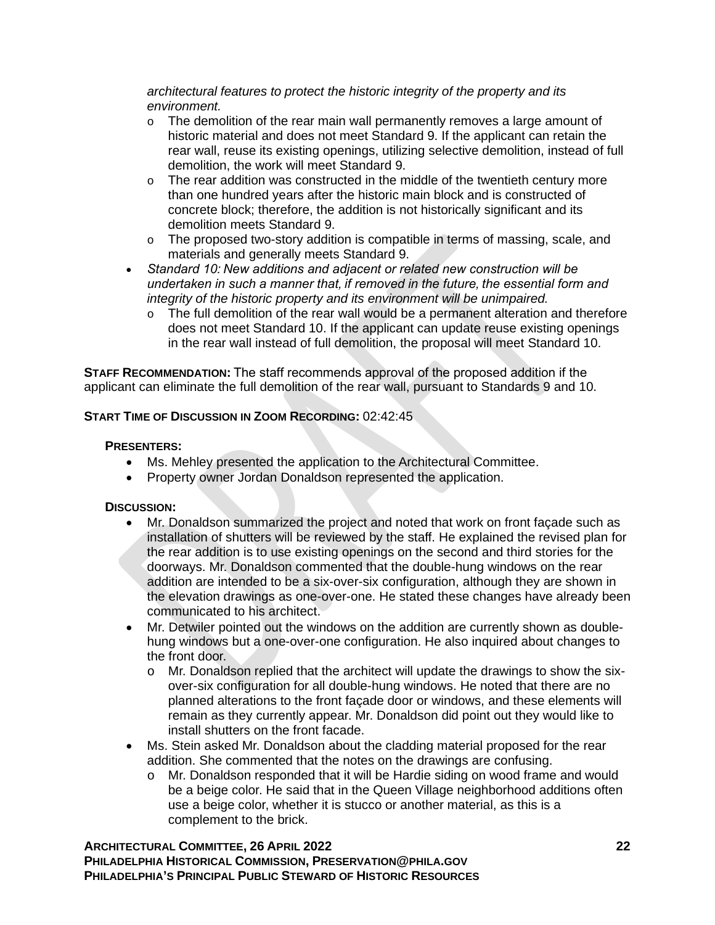*architectural features to protect the historic integrity of the property and its environment.*

- $\circ$  The demolition of the rear main wall permanently removes a large amount of historic material and does not meet Standard 9. If the applicant can retain the rear wall, reuse its existing openings, utilizing selective demolition, instead of full demolition, the work will meet Standard 9.
- $\circ$  The rear addition was constructed in the middle of the twentieth century more than one hundred years after the historic main block and is constructed of concrete block; therefore, the addition is not historically significant and its demolition meets Standard 9.
- o The proposed two-story addition is compatible in terms of massing, scale, and materials and generally meets Standard 9.
- *Standard 10: New additions and adjacent or related new construction will be undertaken in such a manner that, if removed in the future, the essential form and integrity of the historic property and its environment will be unimpaired.*
	- $\circ$  The full demolition of the rear wall would be a permanent alteration and therefore does not meet Standard 10. If the applicant can update reuse existing openings in the rear wall instead of full demolition, the proposal will meet Standard 10.

**STAFF RECOMMENDATION:** The staff recommends approval of the proposed addition if the applicant can eliminate the full demolition of the rear wall, pursuant to Standards 9 and 10.

# **START TIME OF DISCUSSION IN ZOOM RECORDING:** 02:42:45

## **PRESENTERS:**

- Ms. Mehley presented the application to the Architectural Committee.
- Property owner Jordan Donaldson represented the application.

# **DISCUSSION:**

- Mr. Donaldson summarized the project and noted that work on front façade such as installation of shutters will be reviewed by the staff. He explained the revised plan for the rear addition is to use existing openings on the second and third stories for the doorways. Mr. Donaldson commented that the double-hung windows on the rear addition are intended to be a six-over-six configuration, although they are shown in the elevation drawings as one-over-one. He stated these changes have already been communicated to his architect.
- Mr. Detwiler pointed out the windows on the addition are currently shown as doublehung windows but a one-over-one configuration. He also inquired about changes to the front door.
	- o Mr. Donaldson replied that the architect will update the drawings to show the sixover-six configuration for all double-hung windows. He noted that there are no planned alterations to the front façade door or windows, and these elements will remain as they currently appear. Mr. Donaldson did point out they would like to install shutters on the front facade.
- Ms. Stein asked Mr. Donaldson about the cladding material proposed for the rear addition. She commented that the notes on the drawings are confusing.
	- o Mr. Donaldson responded that it will be Hardie siding on wood frame and would be a beige color. He said that in the Queen Village neighborhood additions often use a beige color, whether it is stucco or another material, as this is a complement to the brick.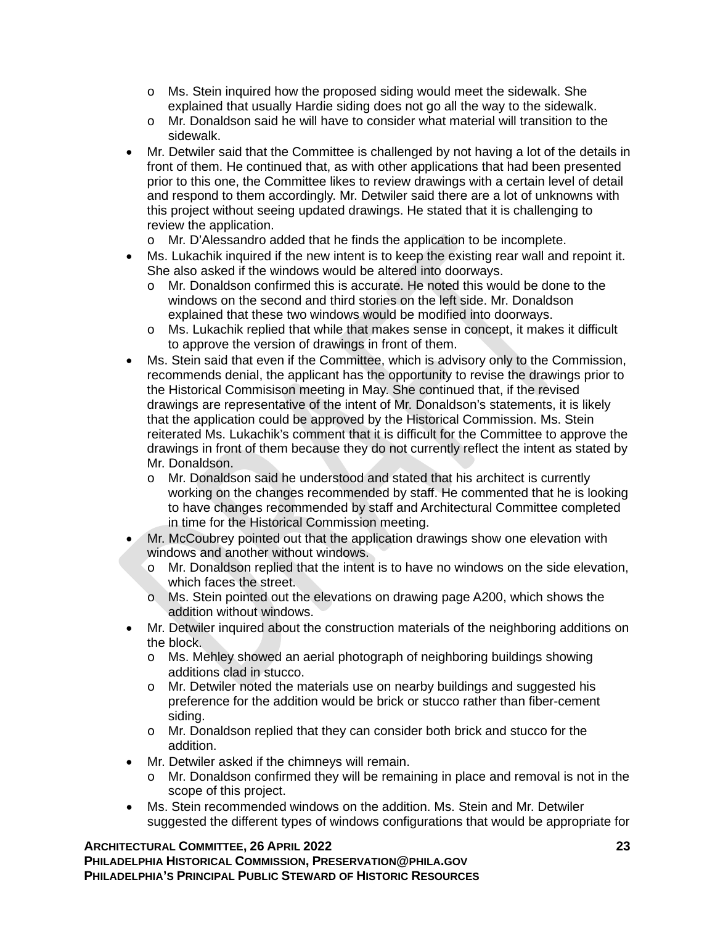- o Ms. Stein inquired how the proposed siding would meet the sidewalk. She explained that usually Hardie siding does not go all the way to the sidewalk.
- o Mr. Donaldson said he will have to consider what material will transition to the sidewalk.
- Mr. Detwiler said that the Committee is challenged by not having a lot of the details in front of them. He continued that, as with other applications that had been presented prior to this one, the Committee likes to review drawings with a certain level of detail and respond to them accordingly. Mr. Detwiler said there are a lot of unknowns with this project without seeing updated drawings. He stated that it is challenging to review the application.
	- o Mr. D'Alessandro added that he finds the application to be incomplete.
- Ms. Lukachik inquired if the new intent is to keep the existing rear wall and repoint it. She also asked if the windows would be altered into doorways.
	- o Mr. Donaldson confirmed this is accurate. He noted this would be done to the windows on the second and third stories on the left side. Mr. Donaldson explained that these two windows would be modified into doorways.
	- o Ms. Lukachik replied that while that makes sense in concept, it makes it difficult to approve the version of drawings in front of them.
- Ms. Stein said that even if the Committee, which is advisory only to the Commission, recommends denial, the applicant has the opportunity to revise the drawings prior to the Historical Commisison meeting in May. She continued that, if the revised drawings are representative of the intent of Mr. Donaldson's statements, it is likely that the application could be approved by the Historical Commission. Ms. Stein reiterated Ms. Lukachik's comment that it is difficult for the Committee to approve the drawings in front of them because they do not currently reflect the intent as stated by Mr. Donaldson.
	- o Mr. Donaldson said he understood and stated that his architect is currently working on the changes recommended by staff. He commented that he is looking to have changes recommended by staff and Architectural Committee completed in time for the Historical Commission meeting.
- Mr. McCoubrey pointed out that the application drawings show one elevation with windows and another without windows.
	- o Mr. Donaldson replied that the intent is to have no windows on the side elevation, which faces the street.
	- o Ms. Stein pointed out the elevations on drawing page A200, which shows the addition without windows.
- Mr. Detwiler inquired about the construction materials of the neighboring additions on the block.
	- o Ms. Mehley showed an aerial photograph of neighboring buildings showing additions clad in stucco.
	- o Mr. Detwiler noted the materials use on nearby buildings and suggested his preference for the addition would be brick or stucco rather than fiber-cement siding.
	- o Mr. Donaldson replied that they can consider both brick and stucco for the addition.
- Mr. Detwiler asked if the chimneys will remain.
	- o Mr. Donaldson confirmed they will be remaining in place and removal is not in the scope of this project.
- Ms. Stein recommended windows on the addition. Ms. Stein and Mr. Detwiler suggested the different types of windows configurations that would be appropriate for

### **ARCHITECTURAL COMMITTEE, 26 APRIL 2022 23 PHILADELPHIA HISTORICAL COMMISSION, PRESERVATION@PHILA.GOV PHILADELPHIA'S PRINCIPAL PUBLIC STEWARD OF HISTORIC RESOURCES**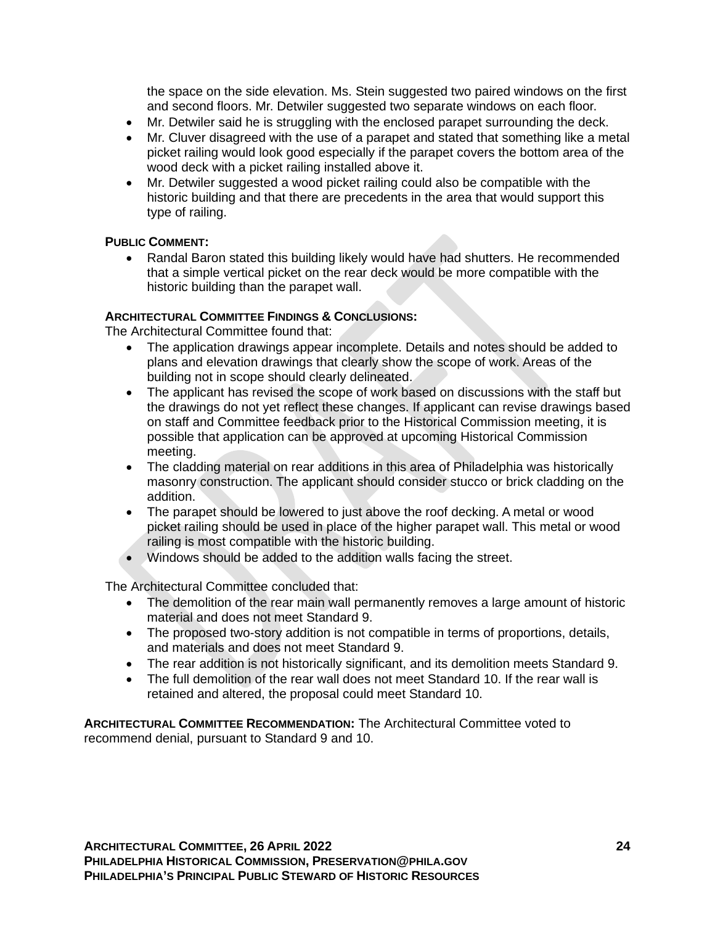the space on the side elevation. Ms. Stein suggested two paired windows on the first and second floors. Mr. Detwiler suggested two separate windows on each floor.

- Mr. Detwiler said he is struggling with the enclosed parapet surrounding the deck.
- Mr. Cluver disagreed with the use of a parapet and stated that something like a metal picket railing would look good especially if the parapet covers the bottom area of the wood deck with a picket railing installed above it.
- Mr. Detwiler suggested a wood picket railing could also be compatible with the historic building and that there are precedents in the area that would support this type of railing.

### **PUBLIC COMMENT:**

• Randal Baron stated this building likely would have had shutters. He recommended that a simple vertical picket on the rear deck would be more compatible with the historic building than the parapet wall.

### **ARCHITECTURAL COMMITTEE FINDINGS & CONCLUSIONS:**

The Architectural Committee found that:

- The application drawings appear incomplete. Details and notes should be added to plans and elevation drawings that clearly show the scope of work. Areas of the building not in scope should clearly delineated.
- The applicant has revised the scope of work based on discussions with the staff but the drawings do not yet reflect these changes. If applicant can revise drawings based on staff and Committee feedback prior to the Historical Commission meeting, it is possible that application can be approved at upcoming Historical Commission meeting.
- The cladding material on rear additions in this area of Philadelphia was historically masonry construction. The applicant should consider stucco or brick cladding on the addition.
- The parapet should be lowered to just above the roof decking. A metal or wood picket railing should be used in place of the higher parapet wall. This metal or wood railing is most compatible with the historic building.
- Windows should be added to the addition walls facing the street.

The Architectural Committee concluded that:

- The demolition of the rear main wall permanently removes a large amount of historic material and does not meet Standard 9.
- The proposed two-story addition is not compatible in terms of proportions, details, and materials and does not meet Standard 9.
- The rear addition is not historically significant, and its demolition meets Standard 9.
- The full demolition of the rear wall does not meet Standard 10. If the rear wall is retained and altered, the proposal could meet Standard 10.

**ARCHITECTURAL COMMITTEE RECOMMENDATION:** The Architectural Committee voted to recommend denial, pursuant to Standard 9 and 10.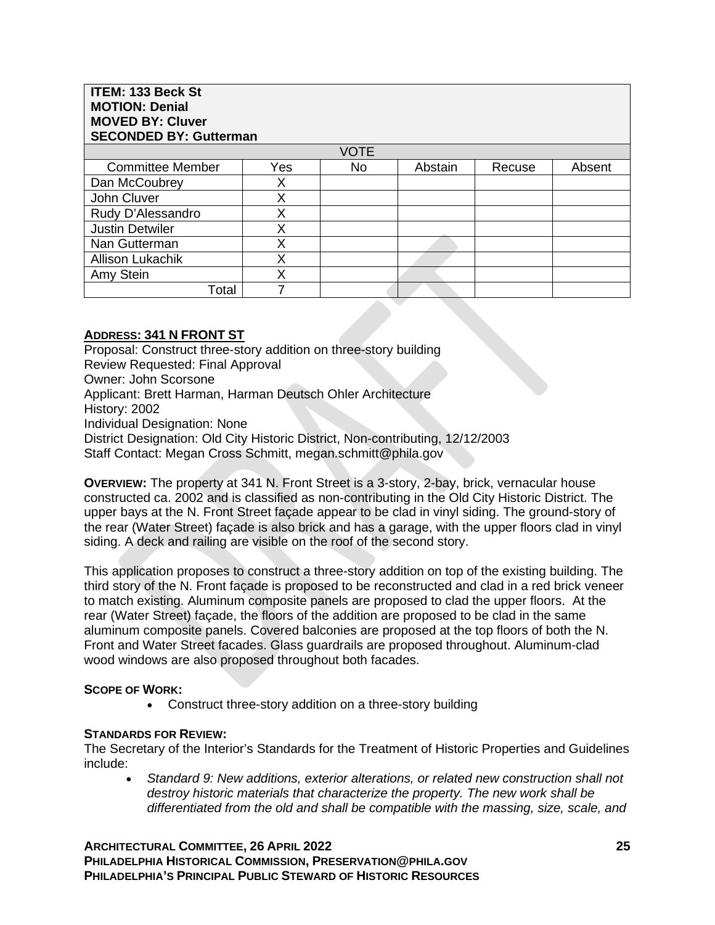| <b>ITEM: 133 Beck St</b><br><b>MOTION: Denial</b><br><b>MOVED BY: Cluver</b><br><b>SECONDED BY: Gutterman</b> |     |             |         |        |        |  |  |
|---------------------------------------------------------------------------------------------------------------|-----|-------------|---------|--------|--------|--|--|
|                                                                                                               |     | <b>VOTE</b> |         |        |        |  |  |
| <b>Committee Member</b>                                                                                       | Yes | No.         | Abstain | Recuse | Absent |  |  |
| Dan McCoubrey                                                                                                 | Х   |             |         |        |        |  |  |
| John Cluver                                                                                                   | X   |             |         |        |        |  |  |
| Rudy D'Alessandro                                                                                             | Χ   |             |         |        |        |  |  |
| <b>Justin Detwiler</b>                                                                                        | X   |             |         |        |        |  |  |
| Nan Gutterman                                                                                                 | X   |             |         |        |        |  |  |
| <b>Allison Lukachik</b>                                                                                       | v   |             |         |        |        |  |  |
| Amy Stein                                                                                                     | X   |             |         |        |        |  |  |
| Total                                                                                                         |     |             |         |        |        |  |  |

### **ADDRESS: 341 N FRONT ST**

Proposal: Construct three-story addition on three-story building Review Requested: Final Approval Owner: John Scorsone Applicant: Brett Harman, Harman Deutsch Ohler Architecture History: 2002 Individual Designation: None District Designation: Old City Historic District, Non-contributing, 12/12/2003 Staff Contact: Megan Cross Schmitt, megan.schmitt@phila.gov

**OVERVIEW:** The property at 341 N. Front Street is a 3-story, 2-bay, brick, vernacular house constructed ca. 2002 and is classified as non-contributing in the Old City Historic District. The upper bays at the N. Front Street façade appear to be clad in vinyl siding. The ground-story of the rear (Water Street) façade is also brick and has a garage, with the upper floors clad in vinyl siding. A deck and railing are visible on the roof of the second story.

This application proposes to construct a three-story addition on top of the existing building. The third story of the N. Front façade is proposed to be reconstructed and clad in a red brick veneer to match existing. Aluminum composite panels are proposed to clad the upper floors. At the rear (Water Street) façade, the floors of the addition are proposed to be clad in the same aluminum composite panels. Covered balconies are proposed at the top floors of both the N. Front and Water Street facades. Glass guardrails are proposed throughout. Aluminum-clad wood windows are also proposed throughout both facades.

#### **SCOPE OF WORK:**

• Construct three-story addition on a three-story building

#### **STANDARDS FOR REVIEW:**

The Secretary of the Interior's Standards for the Treatment of Historic Properties and Guidelines include:

• *Standard 9: New additions, exterior alterations, or related new construction shall not destroy historic materials that characterize the property. The new work shall be differentiated from the old and shall be compatible with the massing, size, scale, and* 

**ARCHITECTURAL COMMITTEE, 26 APRIL 2022 25 PHILADELPHIA HISTORICAL COMMISSION, PRESERVATION@PHILA.GOV PHILADELPHIA'S PRINCIPAL PUBLIC STEWARD OF HISTORIC RESOURCES**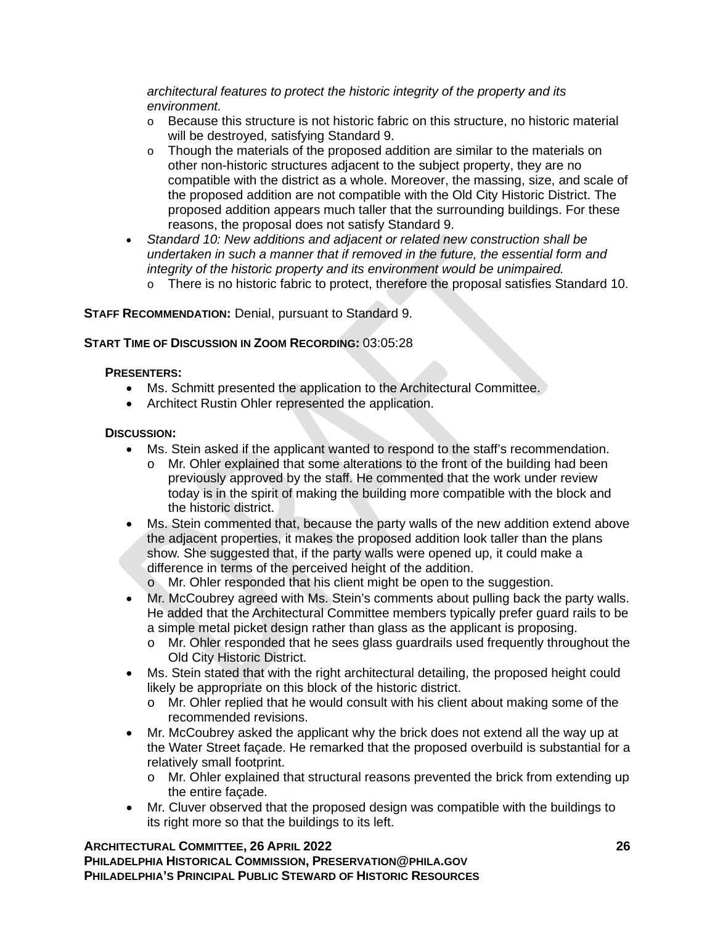*architectural features to protect the historic integrity of the property and its environment.*

- $\circ$  Because this structure is not historic fabric on this structure, no historic material will be destroyed, satisfying Standard 9.
- $\circ$  Though the materials of the proposed addition are similar to the materials on other non-historic structures adjacent to the subject property, they are no compatible with the district as a whole. Moreover, the massing, size, and scale of the proposed addition are not compatible with the Old City Historic District. The proposed addition appears much taller that the surrounding buildings. For these reasons, the proposal does not satisfy Standard 9.
- *Standard 10: New additions and adjacent or related new construction shall be undertaken in such a manner that if removed in the future, the essential form and integrity of the historic property and its environment would be unimpaired.*
	- o There is no historic fabric to protect, therefore the proposal satisfies Standard 10.

# **STAFF RECOMMENDATION:** Denial, pursuant to Standard 9.

## **START TIME OF DISCUSSION IN ZOOM RECORDING:** 03:05:28

## **PRESENTERS:**

- Ms. Schmitt presented the application to the Architectural Committee.
- Architect Rustin Ohler represented the application.

### **DISCUSSION:**

- Ms. Stein asked if the applicant wanted to respond to the staff's recommendation.
	- o Mr. Ohler explained that some alterations to the front of the building had been previously approved by the staff. He commented that the work under review today is in the spirit of making the building more compatible with the block and the historic district.
- Ms. Stein commented that, because the party walls of the new addition extend above the adjacent properties, it makes the proposed addition look taller than the plans show. She suggested that, if the party walls were opened up, it could make a difference in terms of the perceived height of the addition.
	- o Mr. Ohler responded that his client might be open to the suggestion.
- Mr. McCoubrey agreed with Ms. Stein's comments about pulling back the party walls. He added that the Architectural Committee members typically prefer guard rails to be a simple metal picket design rather than glass as the applicant is proposing.
	- o Mr. Ohler responded that he sees glass guardrails used frequently throughout the Old City Historic District.
- Ms. Stein stated that with the right architectural detailing, the proposed height could likely be appropriate on this block of the historic district.
	- o Mr. Ohler replied that he would consult with his client about making some of the recommended revisions.
- Mr. McCoubrey asked the applicant why the brick does not extend all the way up at the Water Street façade. He remarked that the proposed overbuild is substantial for a relatively small footprint.
	- o Mr. Ohler explained that structural reasons prevented the brick from extending up the entire façade.
- Mr. Cluver observed that the proposed design was compatible with the buildings to its right more so that the buildings to its left.

### **ARCHITECTURAL COMMITTEE, 26 APRIL 2022 26 PHILADELPHIA HISTORICAL COMMISSION, PRESERVATION@PHILA.GOV PHILADELPHIA'S PRINCIPAL PUBLIC STEWARD OF HISTORIC RESOURCES**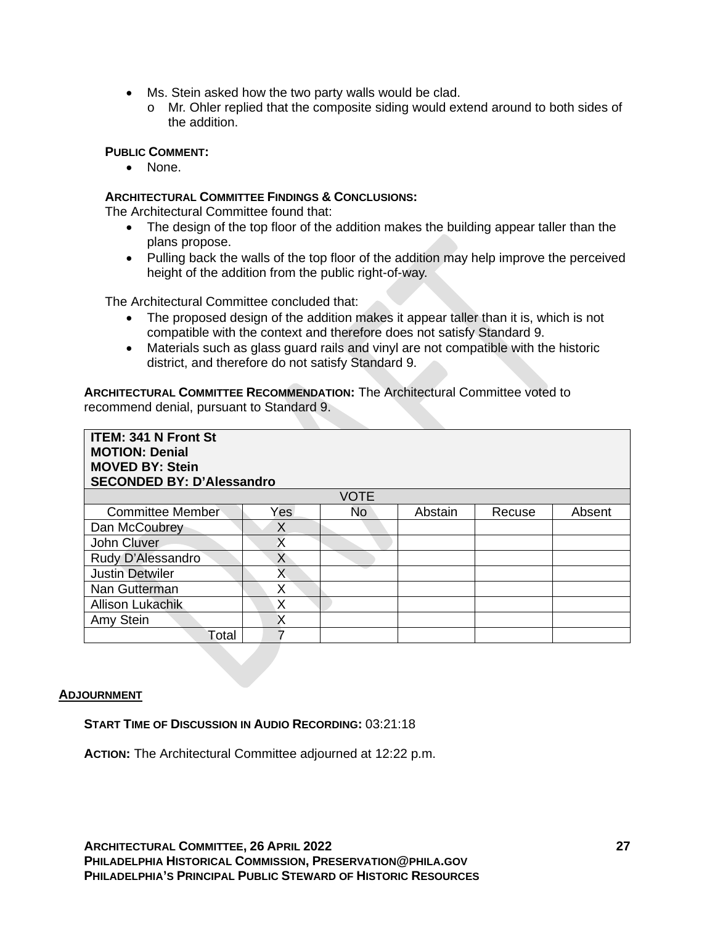- Ms. Stein asked how the two party walls would be clad.
	- o Mr. Ohler replied that the composite siding would extend around to both sides of the addition.

### **PUBLIC COMMENT:**

• None.

### **ARCHITECTURAL COMMITTEE FINDINGS & CONCLUSIONS:**

The Architectural Committee found that:

- The design of the top floor of the addition makes the building appear taller than the plans propose.
- Pulling back the walls of the top floor of the addition may help improve the perceived height of the addition from the public right-of-way.

The Architectural Committee concluded that:

- The proposed design of the addition makes it appear taller than it is, which is not compatible with the context and therefore does not satisfy Standard 9.
- Materials such as glass guard rails and vinyl are not compatible with the historic district, and therefore do not satisfy Standard 9.

**ARCHITECTURAL COMMITTEE RECOMMENDATION:** The Architectural Committee voted to recommend denial, pursuant to Standard 9.

| <b>ITEM: 341 N Front St</b><br><b>MOTION: Denial</b><br><b>MOVED BY: Stein</b><br><b>SECONDED BY: D'Alessandro</b> |      |             |         |        |        |  |  |
|--------------------------------------------------------------------------------------------------------------------|------|-------------|---------|--------|--------|--|--|
|                                                                                                                    |      | <b>VOTE</b> |         |        |        |  |  |
| <b>Committee Member</b>                                                                                            | Yes. | No          | Abstain | Recuse | Absent |  |  |
| Dan McCoubrey                                                                                                      | X    |             |         |        |        |  |  |
| John Cluver                                                                                                        | X    |             |         |        |        |  |  |
| Rudy D'Alessandro                                                                                                  | X    |             |         |        |        |  |  |
| <b>Justin Detwiler</b>                                                                                             | Χ    |             |         |        |        |  |  |
| Nan Gutterman                                                                                                      | Χ    |             |         |        |        |  |  |
| <b>Allison Lukachik</b>                                                                                            | X    |             |         |        |        |  |  |
| Amy Stein                                                                                                          | Χ    |             |         |        |        |  |  |
| Total                                                                                                              | 7    |             |         |        |        |  |  |

#### **ADJOURNMENT**

**START TIME OF DISCUSSION IN AUDIO RECORDING:** 03:21:18

**ACTION:** The Architectural Committee adjourned at 12:22 p.m.